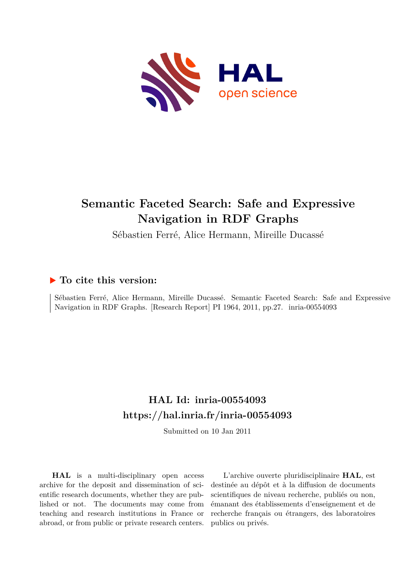

# **Semantic Faceted Search: Safe and Expressive Navigation in RDF Graphs**

Sébastien Ferré, Alice Hermann, Mireille Ducassé

# **To cite this version:**

Sébastien Ferré, Alice Hermann, Mireille Ducassé. Semantic Faceted Search: Safe and Expressive Navigation in RDF Graphs. [Research Report] PI 1964, 2011, pp.27. inria-00554093

# **HAL Id: inria-00554093 <https://hal.inria.fr/inria-00554093>**

Submitted on 10 Jan 2011

**HAL** is a multi-disciplinary open access archive for the deposit and dissemination of scientific research documents, whether they are published or not. The documents may come from teaching and research institutions in France or abroad, or from public or private research centers.

L'archive ouverte pluridisciplinaire **HAL**, est destinée au dépôt et à la diffusion de documents scientifiques de niveau recherche, publiés ou non, émanant des établissements d'enseignement et de recherche français ou étrangers, des laboratoires publics ou privés.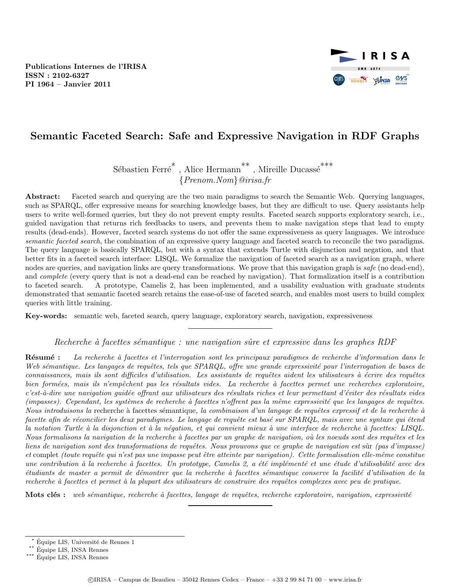Publications Internes de l'IRISA ISSN : 2102-6327 PI 1964 – Janvier 2011



# Semantic Faceted Search: Safe and Expressive Navigation in RDF Graphs

Sébastien Ferré $^*$ , Alice Hermann $^{**}$ , Mireille Ducassé $^{***}$ {Prenom.Nom}@irisa.fr

Abstract: Faceted search and querying are the two main paradigms to search the Semantic Web. Querying languages, such as SPARQL, offer expressive means for searching knowledge bases, but they are difficult to use. Query assistants help users to write well-formed queries, but they do not prevent empty results. Faceted search supports exploratory search, i.e., guided navigation that returns rich feedbacks to users, and prevents them to make navigation steps that lead to empty results (dead-ends). However, faceted search systems do not offer the same expressiveness as query languages. We introduce semantic faceted search, the combination of an expressive query language and faceted search to reconcile the two paradigms. The query language is basically SPARQL, but with a syntax that extends Turtle with disjunction and negation, and that better fits in a faceted search interface: LISQL. We formalize the navigation of faceted search as a navigation graph, where nodes are queries, and navigation links are query transformations. We prove that this navigation graph is safe (no dead-end), and *complete* (every query that is not a dead-end can be reached by navigation). That formalization itself is a contribution to faceted search. A prototype, Camelis 2, has been implemented, and a usability evaluation with graduate students demonstrated that semantic faceted search retains the ease-of-use of faceted search, and enables most users to build complex queries with little training.

Key-words: semantic web, faceted search, query language, exploratory search, navigation, expressiveness

#### Recherche à facettes sémantique : une navigation sûre et expressive dans les graphes RDF

Résumé : La recherche à facettes et l'interrogation sont les principaux paradigmes de recherche d'information dans le Web sémantique. Les langages de requêtes, tels que  $SPARQL$ , offre une grande expressivité pour l'interrogation de bases de connaissances, mais ils sont difficiles d'utilisation. Les assistants de requêtes aident les utilisateurs à écrire des requêtes bien formées, mais ils n'empêchent pas les résultats vides. La recherche à facettes permet une recherches exploratoire, c'est-à-dire une navigation quidée offrant aux utilisateurs des résultats riches et leur permettant d'éviter des résultats vides  $(impasses).$  Cependant, les systèmes de recherche à facettes n'offrent pas la même expressivité que les langages de requêtes. Nous introduisons la recherche à facettes sémantique, la combinaison d'un langage de requêtes expressif et de la recherche à facette afin de réconcilier les deux paradigmes. Le langage de requête est basé sur SPARQL, mais avec une syntaxe qui étend la notation Turtle à la disjonction et à la négation, et qui convient mieux à une interface de recherche à facettes: LISQL. Nous formalisons la navigation de la recherche à facettes par un graphe de navigation, où les noeuds sont des requêtes et les liens de navigation sont des transformations de requêtes. Nous prouvons que ce graphe de navigation est sûr (pas d'impasse) et complet (toute requête qui n'est pas une impasse peut être atteinte par navigation). Cette formalisation elle-même constitue une contribution à la recherche à facettes. Un prototype, Camelis 2, a été implémenté et une étude d'utilisabilité avec des étudiants de master a permit de démontrer que la recherche à facettes sémantique conserve la facilité d'utilisation de la recherche à facettes et permet à la plupart des utilisateurs de construire des requêtes complexes avec peu de pratique.

Mots clés : web sémantique, recherche à facettes, langage de requêtes, recherche exploratoire, navigation, expressivité

Équipe LIS, Université de Rennes 1

<sup>\*\*</sup> Équipe LIS, INSA Rennes

 $\stackrel{***}{\sim}$ Équipe LIS, INSA Rennes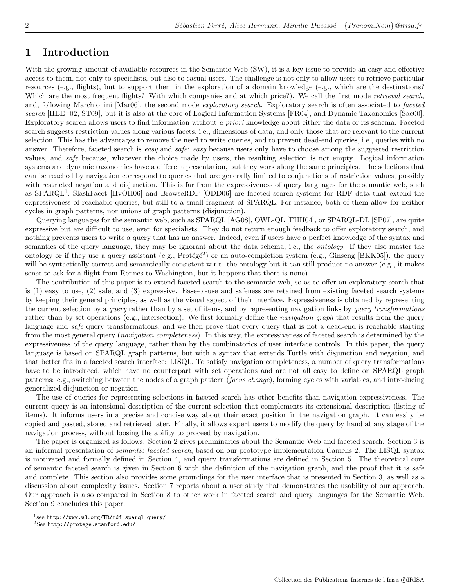# 1 Introduction

With the growing amount of available resources in the Semantic Web (SW), it is a key issue to provide an easy and effective access to them, not only to specialists, but also to casual users. The challenge is not only to allow users to retrieve particular resources (e.g., flights), but to support them in the exploration of a domain knowledge (e.g., which are the destinations? Which are the most frequent flights? With which companies and at which price?). We call the first mode *retrieval search*, and, following Marchionini [Mar06], the second mode *exploratory search*. Exploratory search is often associated to *faceted* search  $[HEE^+02, ST09]$ , but it is also at the core of Logical Information Systems  $[FR04]$ , and Dynamic Taxonomies  $[Sa00]$ . Exploratory search allows users to find information without a priori knowledge about either the data or its schema. Faceted search suggests restriction values along various facets, i.e., dimensions of data, and only those that are relevant to the current selection. This has the advantages to remove the need to write queries, and to prevent dead-end queries, i.e., queries with no answer. Therefore, faceted search is easy and safe: easy because users only have to choose among the suggested restriction values, and safe because, whatever the choice made by users, the resulting selection is not empty. Logical information systems and dynamic taxonomies have a different presentation, but they work along the same principles. The selections that can be reached by navigation correspond to queries that are generally limited to conjunctions of restriction values, possibly with restricted negation and disjunction. This is far from the expressiveness of query languages for the semantic web, such as SPARQL<sup>1</sup>. SlashFacet [HvOH06] and BrowseRDF [ODD06] are faceted search systems for RDF data that extend the expressiveness of reachable queries, but still to a small fragment of SPARQL. For instance, both of them allow for neither cycles in graph patterns, nor unions of graph patterns (disjunction).

Querying languages for the semantic web, such as SPARQL [AG08], OWL-QL [FHH04], or SPARQL-DL [SP07], are quite expressive but are difficult to use, even for specialists. They do not return enough feedback to offer exploratory search, and nothing prevents users to write a query that has no answer. Indeed, even if users have a perfect knowledge of the syntax and semantics of the query language, they may be ignorant about the data schema, i.e., the ontology. If they also master the ontology or if they use a query assistant (e.g.,  $Prot\acute{e}g\acute{e}^2$ ) or an auto-completion system (e.g., Ginseng [BKK05]), the query will be syntactically correct and semantically consistent w.r.t. the ontology but it can still produce no answer (e.g., it makes sense to ask for a flight from Rennes to Washington, but it happens that there is none).

The contribution of this paper is to extend faceted search to the semantic web, so as to offer an exploratory search that is (1) easy to use, (2) safe, and (3) expressive. Ease-of-use and safeness are retained from existing faceted search systems by keeping their general principles, as well as the visual aspect of their interface. Expressiveness is obtained by representing the current selection by a *query* rather than by a set of items, and by representing navigation links by *query transformations* rather than by set operations (e.g., intersection). We first formally define the *navigation graph* that results from the query language and safe query transformations, and we then prove that every query that is not a dead-end is reachable starting from the most general query (*navigation completeness*). In this way, the expressiveness of faceted search is determined by the expressiveness of the query language, rather than by the combinatorics of user interface controls. In this paper, the query language is based on SPARQL graph patterns, but with a syntax that extends Turtle with disjunction and negation, and that better fits in a faceted search interface: LISQL. To satisfy navigation completeness, a number of query transformations have to be introduced, which have no counterpart with set operations and are not all easy to define on SPARQL graph patterns: e.g., switching between the nodes of a graph pattern (focus change), forming cycles with variables, and introducing generalized disjunction or negation.

The use of queries for representing selections in faceted search has other benefits than navigation expressiveness. The current query is an intensional description of the current selection that complements its extensional description (listing of items). It informs users in a precise and concise way about their exact position in the navigation graph. It can easily be copied and pasted, stored and retrieved later. Finally, it allows expert users to modify the query by hand at any stage of the navigation process, without loosing the ability to proceed by navigation.

The paper is organized as follows. Section 2 gives preliminaries about the Semantic Web and faceted search. Section 3 is an informal presentation of *semantic faceted search*, based on our prototype implementation Camelis 2. The LISQL syntax is motivated and formally defined in Section 4, and query transformations are defined in Section 5. The theoretical core of semantic faceted search is given in Section 6 with the definition of the navigation graph, and the proof that it is safe and complete. This section also provides some groundings for the user interface that is presented in Section 3, as well as a discussion about complexity issues. Section 7 reports about a user study that demonstrates the usability of our approach. Our approach is also compared in Section 8 to other work in faceted search and query languages for the Semantic Web. Section 9 concludes this paper.

 $^1$ see http://www.w3.org/TR/rdf-sparql-query/

 ${}^{2}$ See http://protege.stanford.edu/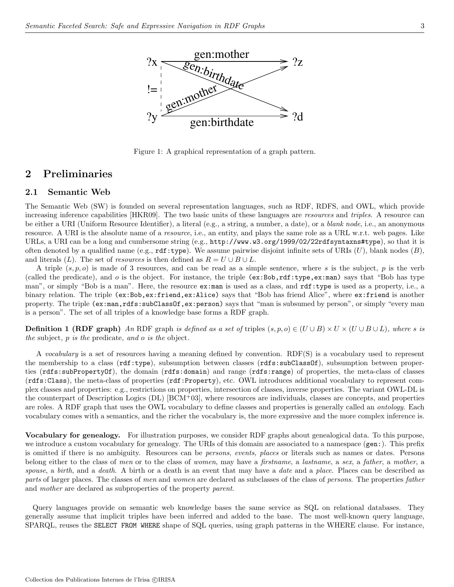

Figure 1: A graphical representation of a graph pattern.

### 2 Preliminaries

### 2.1 Semantic Web

The Semantic Web (SW) is founded on several representation languages, such as RDF, RDFS, and OWL, which provide increasing inference capabilities [HKR09]. The two basic units of these languages are resources and triples. A resource can be either a URI (Uniform Resource Identifier), a literal (e.g., a string, a number, a date), or a *blank node*, i.e., an anonymous resource. A URI is the absolute name of a *resource*, i.e., an entity, and plays the same role as a URL w.r.t. web pages. Like URLs, a URI can be a long and cumbersome string (e.g., http://www.w3.org/1999/02/22rdfsyntaxns#type), so that it is often denoted by a qualified name (e.g.,  $\texttt{rdf:type}$ ). We assume pairwise disjoint infinite sets of URIs  $(U)$ , blank nodes  $(B)$ , and literals  $(L)$ . The set of *resources* is then defined as  $R = U \cup B \cup L$ .

A triple  $(s, p, o)$  is made of 3 resources, and can be read as a simple sentence, where s is the subject, p is the verb (called the predicate), and  $o$  is the object. For instance, the triple  $(ex:Bob, rdf:type, ex:man)$  says that "Bob has type man", or simply "Bob is a man". Here, the resource ex:man is used as a class, and rdf:type is used as a property, i.e., a binary relation. The triple (ex:Bob,ex:friend,ex:Alice) says that "Bob has friend Alice", where ex:friend is another property. The triple (ex:man,rdfs:subClassOf,ex:person) says that "man is subsumed by person", or simply "every man is a person". The set of all triples of a knowledge base forms a RDF graph.

**Definition 1 (RDF graph)** An RDF graph is defined as a set of triples  $(s, p, o) \in (U \cup B) \times U \times (U \cup B \cup L)$ , where s is the subject, p is the predicate, and o is the object.

A vocabulary is a set of resources having a meaning defined by convention. RDF(S) is a vocabulary used to represent the membership to a class (rdf:type), subsumption between classes (rdfs:subClassOf), subsumption between properties (rdfs:subPropertyOf), the domain (rdfs:domain) and range (rdfs:range) of properties, the meta-class of classes (rdfs:Class), the meta-class of properties (rdf:Property), etc. OWL introduces additional vocabulary to represent complex classes and properties: e.g., restrictions on properties, intersection of classes, inverse properties. The variant OWL-DL is the counterpart of Description Logics  $(DL)$   $[BCM<sup>+</sup>03]$ , where resources are individuals, classes are concepts, and properties are roles. A RDF graph that uses the OWL vocabulary to define classes and properties is generally called an *ontology*. Each vocabulary comes with a semantics, and the richer the vocabulary is, the more expressive and the more complex inference is.

Vocabulary for genealogy. For illustration purposes, we consider RDF graphs about genealogical data. To this purpose, we introduce a custom vocabulary for genealogy. The URIs of this domain are associated to a namespace (gen:). This prefix is omitted if there is no ambiguity. Resources can be persons, events, places or literals such as names or dates. Persons belong either to the class of men or to the class of women, may have a firstname, a lastname, a sex, a father, a mother, a spouse, a birth, and a death. A birth or a death is an event that may have a date and a place. Places can be described as parts of larger places. The classes of men and women are declared as subclasses of the class of persons. The properties father and mother are declared as subproperties of the property parent.

Query languages provide on semantic web knowledge bases the same service as SQL on relational databases. They generally assume that implicit triples have been inferred and added to the base. The most well-known query language, SPARQL, reuses the SELECT FROM WHERE shape of SQL queries, using graph patterns in the WHERE clause. For instance,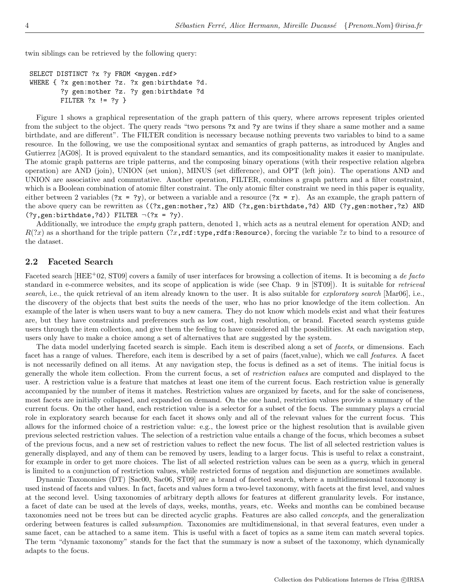twin siblings can be retrieved by the following query:

```
SELECT DISTINCT ?x ?y FROM <mygen.rdf>
WHERE { ?x gen:mother ?z. ?x gen:birthdate ?d.
        ?y gen:mother ?z. ?y gen:birthdate ?d
        FILTER ?x := ?y }
```
Figure 1 shows a graphical representation of the graph pattern of this query, where arrows represent triples oriented from the subject to the object. The query reads "two persons ?x and ?y are twins if they share a same mother and a same birthdate, and are different". The FILTER condition is necessary because nothing prevents two variables to bind to a same resource. In the following, we use the compositional syntax and semantics of graph patterns, as introduced by Angles and Gutierrez [AG08]. It is proved equivalent to the standard semantics, and its compositionality makes it easier to manipulate. The atomic graph patterns are triple patterns, and the composing binary operations (with their respective relation algebra operation) are AND (join), UNION (set union), MINUS (set difference), and OPT (left join). The operations AND and UNION are associative and commutative. Another operation, FILTER, combines a graph pattern and a filter constraint, which is a Boolean combination of atomic filter constraint. The only atomic filter constraint we need in this paper is equality, either between 2 variables ( $2x = 2y$ ), or between a variable and a resource ( $2x = r$ ). As an example, the graph pattern of the above query can be rewritten as ((?x,gen:mother,?z) AND (?x,gen:birthdate,?d) AND (?y,gen:mother,?z) AND  $(?y,gen:birthdate, ?d)$ ) FILTER  $\neg$  $(?x = ?y)$ .

Additionally, we introduce the empty graph pattern, denoted 1, which acts as a neutral element for operation AND; and  $R(?x)$  as a shorthand for the triple pattern  $(?x, rdf:type, rdfs:Resource)$ , forcing the variable  $?x$  to bind to a resource of the dataset.

### 2.2 Faceted Search

Faceted search [HEE+02, ST09] covers a family of user interfaces for browsing a collection of items. It is becoming a de facto standard in e-commerce websites, and its scope of application is wide (see Chap. 9 in [ST09]). It is suitable for retrieval search, i.e., the quick retrieval of an item already known to the user. It is also suitable for exploratory search [Mar06], i.e., the discovery of the objects that best suits the needs of the user, who has no prior knowledge of the item collection. An example of the later is when users want to buy a new camera. They do not know which models exist and what their features are, but they have constraints and preferences such as low cost, high resolution, or brand. Faceted search systems guide users through the item collection, and give them the feeling to have considered all the possibilities. At each navigation step, users only have to make a choice among a set of alternatives that are suggested by the system.

The data model underlying faceted search is simple. Each item is described along a set of facets, or dimensions. Each facet has a range of values. Therefore, each item is described by a set of pairs (facet,value), which we call *features*. A facet is not necessarily defined on all items. At any navigation step, the focus is defined as a set of items. The initial focus is generally the whole item collection. From the current focus, a set of restriction values are computed and displayed to the user. A restriction value is a feature that matches at least one item of the current focus. Each restriction value is generally accompanied by the number of items it matches. Restriction values are organized by facets, and for the sake of conciseness, most facets are initially collapsed, and expanded on demand. On the one hand, restriction values provide a summary of the current focus. On the other hand, each restriction value is a selector for a subset of the focus. The summary plays a crucial role in exploratory search because for each facet it shows only and all of the relevant values for the current focus. This allows for the informed choice of a restriction value: e.g., the lowest price or the highest resolution that is available given previous selected restriction values. The selection of a restriction value entails a change of the focus, which becomes a subset of the previous focus, and a new set of restriction values to reflect the new focus. The list of all selected restriction values is generally displayed, and any of them can be removed by users, leading to a larger focus. This is useful to relax a constraint, for example in order to get more choices. The list of all selected restriction values can be seen as a *query*, which in general is limited to a conjunction of restriction values, while restricted forms of negation and disjunction are sometimes available.

Dynamic Taxonomies (DT) [Sac00, Sac06, ST09] are a brand of faceted search, where a multidimensional taxonomy is used instead of facets and values. In fact, facets and values form a two-level taxonomy, with facets at the first level, and values at the second level. Using taxonomies of arbitrary depth allows for features at different granularity levels. For instance, a facet of date can be used at the levels of days, weeks, months, years, etc. Weeks and months can be combined because taxonomies need not be trees but can be directed acyclic graphs. Features are also called concepts, and the generalization ordering between features is called subsumption. Taxonomies are multidimensional, in that several features, even under a same facet, can be attached to a same item. This is useful with a facet of topics as a same item can match several topics. The term "dynamic taxonomy" stands for the fact that the summary is now a subset of the taxonomy, which dynamically adapts to the focus.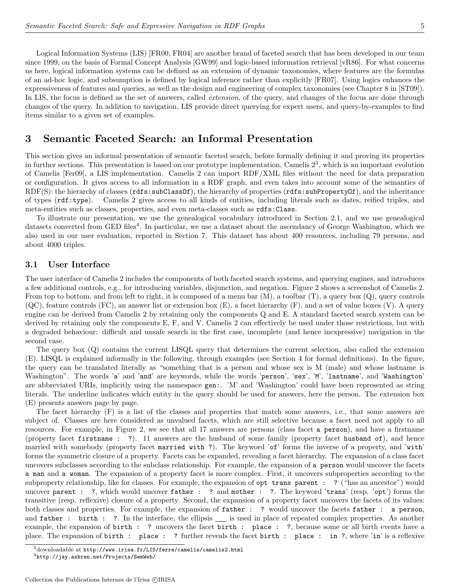Logical Information Systems (LIS) [FR00, FR04] are another brand of faceted search that has been developed in our team since 1999, on the basis of Formal Concept Analysis [GW99] and logic-based information retrieval [vR86]. For what concerns us here, logical information systems can be defined as an extension of dynamic taxonomies, where features are the formulas of an ad-hoc logic, and subsumption is defined by logical inference rather than explicitly [FR07]. Using logics enhances the expressiveness of features and queries, as well as the design and engineering of complex taxonomies (see Chapter 8 in [ST09]). In LIS, the focus is defined as the set of answers, called *extension*, of the query, and changes of the focus are done through changes of the query. In addition to navigation, LIS provide direct querying for expert users, and query-by-examples to find items similar to a given set of examples.

## 3 Semantic Faceted Search: an Informal Presentation

This section gives an informal presentation of semantic faceted search, before formally defining it and proving its properties in further sections. This presentation is based on our prototype implementation, Camelis  $2<sup>3</sup>$ , which is an important evolution of Camelis [Fer09], a LIS implementation. Camelis 2 can import RDF/XML files without the need for data preparation or configuration. It gives access to all information in a RDF graph, and even takes into account some of the semantics of RDF(S): the hierarchy of classes (rdfs:subClassOf), the hierarchy of properties (rdfs:subPropertyOf), and the inheritance of types (rdf:type). Camelis 2 gives access to all kinds of entities, including literals such as dates, reified triples, and meta-entities such as classes, properties, and even meta-classes such as rdfs:Class.

To illustrate our presentation, we use the genealogical vocabulary introduced in Section 2.1, and we use genealogical datasets converted from GED files<sup>4</sup>. In particular, we use a dataset about the ascendancy of George Washington, which we also used in our user evaluation, reported in Section 7. This dataset has about 400 resources, including 79 persons, and about 4000 triples.

#### 3.1 User Interface

The user interface of Camelis 2 includes the components of both faceted search systems, and querying engines, and introduces a few additional controls, e.g., for introducing variables, disjunction, and negation. Figure 2 shows a screenshot of Camelis 2. From top to bottom, and from left to right, it is composed of a menu bar  $(M)$ , a toolbar  $(T)$ , a query box  $(Q)$ , query controls (QC), feature controls (FC), an answer list or extension box (E), a facet hierarchy (F), and a set of value boxes (V). A query engine can be derived from Camelis 2 by retaining only the components Q and E. A standard faceted search system can be derived by retaining only the components E, F, and V. Camelis 2 can effectively be used under those restrictions, but with a degraded behaviour: difficult and unsafe search in the first case, incomplete (and hence inexpressive) navigation in the second case.

The query box (Q) contains the current LISQL query that determines the current selection, also called the extension (E). LISQL is explained informally in the following, through examples (see Section 4 for formal definitions). In the figure, the query can be translated literally as "something that is a person and whose sex is M (male) and whose lastname is Washington". The words 'a' and 'and' are keywords, while the words 'person', 'sex', 'M', 'lastname', and 'Washington' are abbreviated URIs, implicitly using the namespace gen:. 'M' and 'Washington' could have been represented as string literals. The underline indicates which entity in the query should be used for answers, here the person. The extension box (E) presents answers page by page.

The facet hierarchy (F) is a list of the classes and properties that match some answers, i.e., that some answers are subject of. Classes are here considered as unvalued facets, which are still selective because a facet need not apply to all resources. For example, in Figure 2, we see that all 17 answers are persons (class facet a person), and have a firstname (property facet firstname : ?). 11 answers are the husband of some family (property facet husband of), and hence married with somebody (property facet married with ?). The keyword 'of' forms the inverse of a property, and 'with' forms the symmetric closure of a property. Facets can be expanded, revealing a facet hierarchy. The expansion of a class facet uncovers subclasses according to the subclass relationship. For example, the expansion of a person would uncover the facets a man and a woman. The expansion of a property facet is more complex. First, it uncovers subproperties according to the subproperty relationship, like for classes. For example, the expansion of opt trans parent : ? ("has an ancestor") would uncover parent : ?, which would uncover father : ? and mother : ?. The keyword 'trans' (resp. 'opt') forms the transitive (resp. reflexive) closure of a property. Second, the expansion of a property facet uncovers the facets of its values: both classes and properties. For example, the expansion of father : ? would uncover the facets father : a person, and father: birth: ?. In the interface, the ellipsis is used in place of repeated complex properties. As another example, the expansion of birth : ? uncovers the facet birth : place : ?, because some or all birth events have a place. The expansion of birth : place : ? further reveals the facet birth : place : in ?, where 'in' is a reflexive

 $3$ downloadable at http://www.irisa.fr/LIS/ferre/camelis/camelis2.html

<sup>4</sup>http://jay.askren.net/Projects/SemWeb/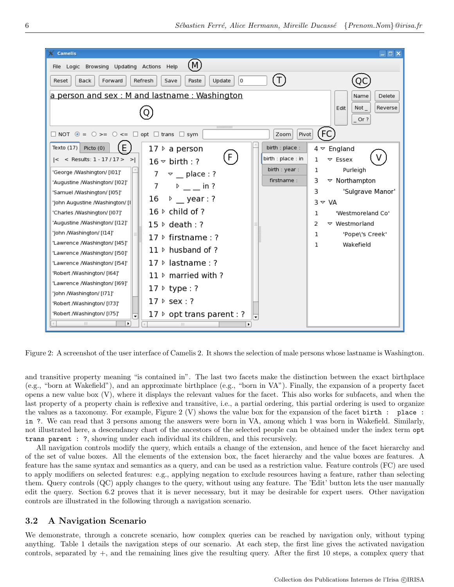

Figure 2: A screenshot of the user interface of Camelis 2. It shows the selection of male persons whose lastname is Washington.

and transitive property meaning "is contained in". The last two facets make the distinction between the exact birthplace (e.g., "born at Wakefield"), and an approximate birthplace (e.g., "born in VA"). Finally, the expansion of a property facet opens a new value box (V), where it displays the relevant values for the facet. This also works for subfacets, and when the last property of a property chain is reflexive and transitive, i.e., a partial ordering, this partial ordering is used to organize the values as a taxonomy. For example, Figure 2 (V) shows the value box for the expansion of the facet birth : place : in ?. We can read that 3 persons among the answers were born in VA, among which 1 was born in Wakefield. Similarly, not illustrated here, a descendancy chart of the ancestors of the selected people can be obtained under the index term opt trans parent : ?, showing under each individual its children, and this recursively.

All navigation controls modify the query, which entails a change of the extension, and hence of the facet hierarchy and of the set of value boxes. All the elements of the extension box, the facet hierarchy and the value boxes are features. A feature has the same syntax and semantics as a query, and can be used as a restriction value. Feature controls (FC) are used to apply modifiers on selected features: e.g., applying negation to exclude resources having a feature, rather than selecting them. Query controls (QC) apply changes to the query, without using any feature. The 'Edit' button lets the user manually edit the query. Section 6.2 proves that it is never necessary, but it may be desirable for expert users. Other navigation controls are illustrated in the following through a navigation scenario.

### 3.2 A Navigation Scenario

We demonstrate, through a concrete scenario, how complex queries can be reached by navigation only, without typing anything. Table 1 details the navigation steps of our scenario. At each step, the first line gives the activated navigation controls, separated by +, and the remaining lines give the resulting query. After the first 10 steps, a complex query that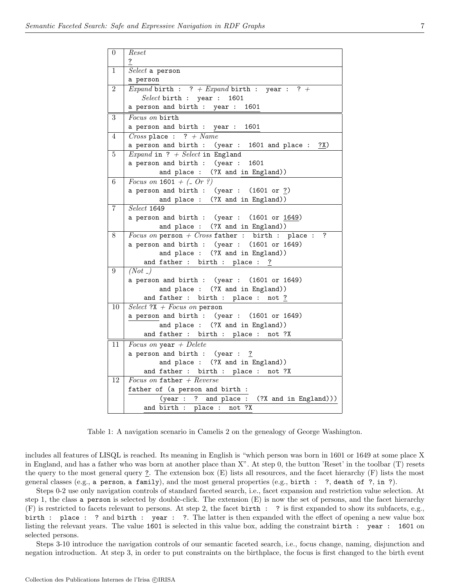| $\overline{0}$ | Reset                                                      |
|----------------|------------------------------------------------------------|
|                | $\overline{\mathbf{?}}$                                    |
| $\mathbf{1}$   | $Select$ a person                                          |
|                | a person                                                   |
| $\overline{2}$ | <i>Expand</i> birth : ? + <i>Expand</i> birth : year : ? + |
|                | $Select$ birth : year : 1601                               |
|                | a person and birth : year : 1601                           |
| $\overline{3}$ | Focus on birth                                             |
|                | a person and birth : year : 1601                           |
| 4              | Cross place : ? + Name                                     |
|                | a person and birth : $(year : 1601$ and place : $?X)$      |
| 5              | <i>Expand</i> in ? + Select in England                     |
|                | a person and birth : (year : 1601                          |
|                | and place : (?X and in England))                           |
| 6              | <i>Focus on</i> $1601 + (-\nOr ?)$                         |
|                | a person and birth : $(year : (1601 or ?)$                 |
|                | and place : (?X and in England))                           |
| $\overline{7}$ | Select 1649                                                |
|                | a person and birth : $(year : (1601 or 1649))$             |
|                | and place : (?X and in England))                           |
| 8              | Focus on person + $Cross$ father : birth : place : ?       |
|                | a person and birth : (year : (1601 or 1649)                |
|                | and place : (?X and in England))                           |
| $\overline{9}$ | and father : birth : place : ?<br>(Not)                    |
|                | a person and birth : (year : (1601 or 1649)                |
|                | and place : (?X and in England))                           |
|                | and father : birth : place : not $?$                       |
| 10             | $Select$ ?X + Focus on person                              |
|                | a person and birth : (year : (1601 or 1649)                |
|                | and place : (?X and in England))                           |
|                | and father : birth : place : not ?X                        |
| 11             | Focus on year $+$ Delete                                   |
|                | a person and birth : (year : ?                             |
|                | and place : (?X and in England))                           |
|                | and father : birth : place : not ?X                        |
| 12             | Focus on father + $Reverse$                                |
|                | father of (a person and birth :                            |
|                | $(year : ? and place : (?X and in England)))$              |
|                | and $\overline{birth}$ : place: not ?X                     |

Table 1: A navigation scenario in Camelis 2 on the genealogy of George Washington.

includes all features of LISQL is reached. Its meaning in English is "which person was born in 1601 or 1649 at some place X in England, and has a father who was born at another place than X". At step 0, the button 'Reset' in the toolbar (T) resets the query to the most general query ?. The extension box (E) lists all resources, and the facet hierarchy (F) lists the most general classes (e.g., a person, a family), and the most general properties (e.g., birth : ?, death of ?, in ?).

Steps 0-2 use only navigation controls of standard faceted search, i.e., facet expansion and restriction value selection. At step 1, the class a person is selected by double-click. The extension (E) is now the set of persons, and the facet hierarchy (F) is restricted to facets relevant to persons. At step 2, the facet birth : ? is first expanded to show its subfacets, e.g., birth : place : ? and birth : year : ?. The latter is then expanded with the effect of opening a new value box listing the relevant years. The value 1601 is selected in this value box, adding the constraint birth : year : 1601 on selected persons.

Steps 3-10 introduce the navigation controls of our semantic faceted search, i.e., focus change, naming, disjunction and negation introduction. At step 3, in order to put constraints on the birthplace, the focus is first changed to the birth event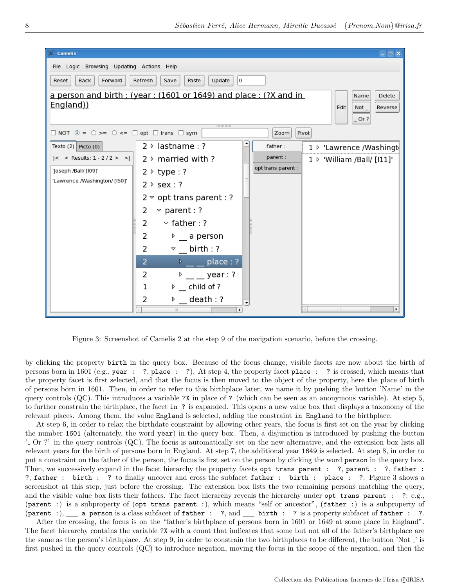

Figure 3: Screenshot of Camelis 2 at the step 9 of the navigation scenario, before the crossing.

by clicking the property birth in the query box. Because of the focus change, visible facets are now about the birth of persons born in 1601 (e.g., year : ?, place : ?). At step 4, the property facet place : ? is crossed, which means that the property facet is first selected, and that the focus is then moved to the object of the property, here the place of birth of persons born in 1601. Then, in order to refer to this birthplace later, we name it by pushing the button 'Name' in the query controls (QC). This introduces a variable ?X in place of ? (which can be seen as an anonymous variable). At step 5, to further constrain the birthplace, the facet in ? is expanded. This opens a new value box that displays a taxonomy of the relevant places. Among them, the value England is selected, adding the constraint in England to the birthplace.

At step 6, in order to relax the birthdate constraint by allowing other years, the focus is first set on the year by clicking the number 1601 (alternately, the word year) in the query box. Then, a disjunction is introduced by pushing the button ' Or ?' in the query controls (QC). The focus is automatically set on the new alternative, and the extension box lists all relevant years for the birth of persons born in England. At step 7, the additional year 1649 is selected. At step 8, in order to put a constraint on the father of the person, the focus is first set on the person by clicking the word person in the query box. Then, we successively expand in the facet hierarchy the property facets opt trans parent : ?, parent : ?, father : ?, father : birth : ? to finally uncover and cross the subfacet father : birth : place : ?. Figure 3 shows a screenshot at this step, just before the crossing. The extension box lists the two remaining persons matching the query, and the visible value box lists their fathers. The facet hierarchy reveals the hierarchy under opt trans parent : ?: e.g., (parent :) is a subproperty of (opt trans parent :), which means "self or ancestor", (father :) is a subproperty of (parent :), a person is a class subfacet of father : ?, and  $\equiv$  birth : ? is a property subfacet of father : ?.

After the crossing, the focus is on the "father's birthplace of persons born in 1601 or 1649 at some place in England". The facet hierarchy contains the variable ?X with a count that indicates that some but not all of the father's birthplace are the same as the person's birthplace. At step 9, in order to constrain the two birthplaces to be different, the button 'Not ' is first pushed in the query controls (QC) to introduce negation, moving the focus in the scope of the negation, and then the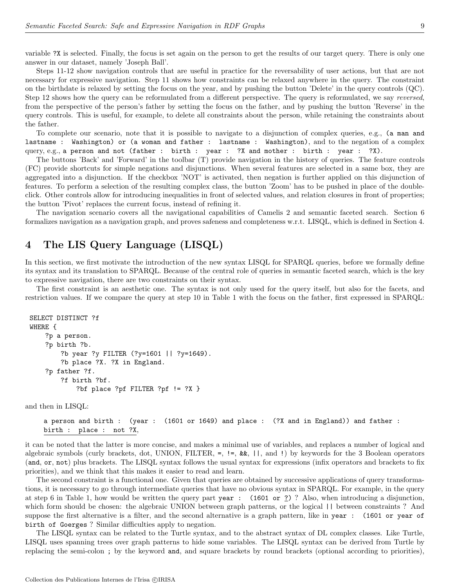variable ?X is selected. Finally, the focus is set again on the person to get the results of our target query. There is only one answer in our dataset, namely 'Joseph Ball'.

Steps 11-12 show navigation controls that are useful in practice for the reversability of user actions, but that are not necessary for expressive navigation. Step 11 shows how constraints can be relaxed anywhere in the query. The constraint on the birthdate is relaxed by setting the focus on the year, and by pushing the button 'Delete' in the query controls (QC). Step 12 shows how the query can be reformulated from a different perspective. The query is reformulated, we say reversed, from the perspective of the person's father by setting the focus on the father, and by pushing the button 'Reverse' in the query controls. This is useful, for example, to delete all constraints about the person, while retaining the constraints about the father.

To complete our scenario, note that it is possible to navigate to a disjunction of complex queries, e.g., (a man and lastname : Washington) or (a woman and father : lastname : Washington), and to the negation of a complex query, e.g., a person and not (father : birth : year : ?X and mother : birth : year : ?X).

The buttons 'Back' and 'Forward' in the toolbar (T) provide navigation in the history of queries. The feature controls (FC) provide shortcuts for simple negations and disjunctions. When several features are selected in a same box, they are aggregated into a disjunction. If the checkbox 'NOT' is activated, then negation is further applied on this disjunction of features. To perform a selection of the resulting complex class, the button 'Zoom' has to be pushed in place of the doubleclick. Other controls allow for introducing inequalities in front of selected values, and relation closures in front of properties; the button 'Pivot' replaces the current focus, instead of refining it.

The navigation scenario covers all the navigational capabilities of Camelis 2 and semantic faceted search. Section 6 formalizes navigation as a navigation graph, and proves safeness and completeness w.r.t. LISQL, which is defined in Section 4.

# 4 The LIS Query Language (LISQL)

In this section, we first motivate the introduction of the new syntax LISQL for SPARQL queries, before we formally define its syntax and its translation to SPARQL. Because of the central role of queries in semantic faceted search, which is the key to expressive navigation, there are two constraints on their syntax.

The first constraint is an aesthetic one. The syntax is not only used for the query itself, but also for the facets, and restriction values. If we compare the query at step 10 in Table 1 with the focus on the father, first expressed in SPARQL:

```
SELECT DISTINCT ?f
WHERE {
    ?p a person.
    ?p birth ?b.
        ?b year ?y FILTER (?y=1601 || ?y=1649).
        ?b place ?X. ?X in England.
    ?p father ?f.
        ?f birth ?bf.
            ?bf place ?pf FILTER ?pf != ?X }
```
and then in LISQL:

```
a person and birth : (year : (1601 or 1649) and place : (?X and in England)) and father :
birth : place : not ?X,
```
it can be noted that the latter is more concise, and makes a minimal use of variables, and replaces a number of logical and algebraic symbols (curly brackets, dot, UNION, FILTER,  $=$ ,  $!=$ ,  $\&$ ,  $\&$ ,  $||$ , and  $||$ ) by keywords for the 3 Boolean operators (and, or, not) plus brackets. The LISQL syntax follows the usual syntax for expressions (infix operators and brackets to fix priorities), and we think that this makes it easier to read and learn.

The second constraint is a functional one. Given that queries are obtained by successive applications of query transformations, it is necessary to go through intermediate queries that have no obvious syntax in SPARQL. For example, in the query at step 6 in Table 1, how would be written the query part year : (1601 or  $\frac{?}{?}$ ) ? Also, when introducing a disjunction, which form should be chosen: the algebraic UNION between graph patterns, or the logical  $\vert\vert$  between constraints ? And suppose the first alternative is a filter, and the second alternative is a graph pattern, like in year : (1601 or year of birth of Goerges ? Similar difficulties apply to negation.

The LISQL syntax can be related to the Turtle syntax, and to the abstract syntax of DL complex classes. Like Turtle, LISQL uses spanning trees over graph patterns to hide some variables. The LISQL syntax can be derived from Turtle by replacing the semi-colon ; by the keyword and, and square brackets by round brackets (optional according to priorities),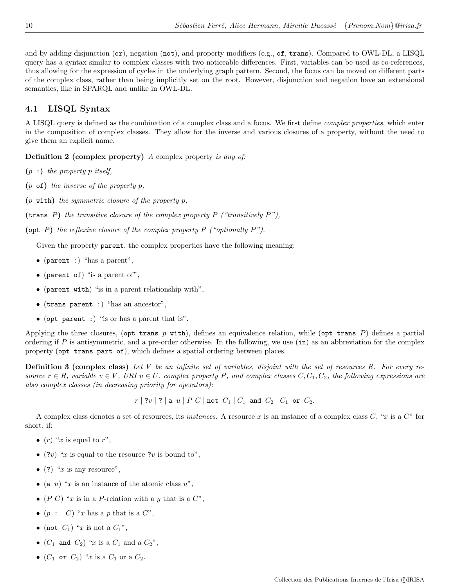and by adding disjunction (or), negation (not), and property modifiers (e.g., of, trans). Compared to OWL-DL, a LISQL query has a syntax similar to complex classes with two noticeable differences. First, variables can be used as co-references, thus allowing for the expression of cycles in the underlying graph pattern. Second, the focus can be moved on different parts of the complex class, rather than being implicitly set on the root. However, disjunction and negation have an extensional semantics, like in SPARQL and unlike in OWL-DL.

### 4.1 LISQL Syntax

A LISQL query is defined as the combination of a complex class and a focus. We first define *complex properties*, which enter in the composition of complex classes. They allow for the inverse and various closures of a property, without the need to give them an explicit name.

Definition 2 (complex property) A complex property is any of:

- $(p :)$  the property p itself,
- $(p \circ f)$  the inverse of the property p,
- $(p \text{ with})$  the symmetric closure of the property p,

(trans P) the transitive closure of the complex property P ("transitively  $P$ "),

(opt  $P$ ) the reflexive closure of the complex property  $P$  ("optionally  $P$ ").

Given the property parent, the complex properties have the following meaning:

- (parent :) "has a parent",
- (parent of) "is a parent of",
- (parent with) "is in a parent relationship with",
- (trans parent :) "has an ancestor",
- (opt parent :) "is or has a parent that is".

Applying the three closures, (opt trans p with), defines an equivalence relation, while (opt trans P) defines a partial ordering if  $P$  is antisymmetric, and a pre-order otherwise. In the following, we use  $(in)$  as an abbreviation for the complex property (opt trans part of), which defines a spatial ordering between places.

**Definition 3 (complex class)** Let V be an infinite set of variables, disjoint with the set of resources R. For every resource  $r \in R$ , variable  $v \in V$ , URI  $u \in U$ , complex property P, and complex classes  $C, C_1, C_2$ , the following expressions are also complex classes (in decreasing priority for operators):

 $r | ?v | ? |$  a u | P C | not  $C_1 | C_1$  and  $C_2 | C_1$  or  $C_2$ .

A complex class denotes a set of resources, its *instances*. A resource x is an instance of a complex class  $C$ , "x is a  $C$ " for short, if:

- $(r)$  "x is equal to r",
- (?v) "x is equal to the resource ?v is bound to",
- (?) " $x$  is any resource",
- (a u) "x is an instance of the atomic class  $u$ ",
- (P C) "x is in a P-relation with a y that is a  $C$ ",
- $(p : C)$  "x has a p that is a  $C$ ",
- (not  $C_1$ ) "x is not a  $C_1$ ",
- $(C_1$  and  $C_2)$  "x is a  $C_1$  and a  $C_2$ ",
- $(C_1$  or  $C_2)$  "x is a  $C_1$  or a  $C_2$ .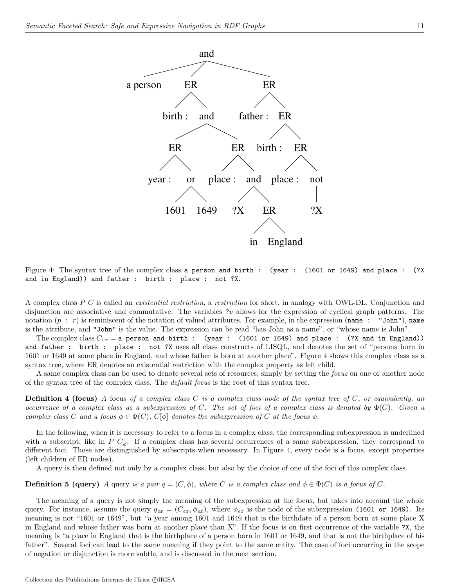

Figure 4: The syntax tree of the complex class a person and birth : (year : (1601 or 1649) and place : (?X and in England)) and father : birth : place : not ?X.

A complex class P C is called an *existential restriction*, a restriction for short, in analogy with OWL-DL. Conjunction and disjunction are associative and commutative. The variables ?v allows for the expression of cyclical graph patterns. The notation  $(p : r)$  is reminiscent of the notation of valued attributes. For example, in the expression (name : "John"), name is the attribute, and "John" is the value. The expression can be read "has John as a name", or "whose name is John".

The complex class  $C_{ex} = a$  person and birth : (year : (1601 or 1649) and place : (?X and in England)) and father : birth : place : not ?X uses all class constructs of LISQL, and denotes the set of "persons born in 1601 or 1649 at some place in England, and whose father is born at another place". Figure 4 shows this complex class as a syntax tree, where ER denotes an existential restriction with the complex property as left child.

A same complex class can be used to denote several sets of resources, simply by setting the focus on one or another node of the syntax tree of the complex class. The default focus is the root of this syntax tree.

**Definition 4 (focus)** A focus of a complex class C is a complex class node of the syntax tree of C, or equivalently, an occurrence of a complex class as a subexpression of C. The set of foci of a complex class is denoted by  $\Phi(C)$ . Given a complex class C and a focus  $\phi \in \Phi(C)$ ,  $C[\phi]$  denotes the subexpression of C at the focus  $\phi$ .

In the following, when it is necessary to refer to a focus in a complex class, the corresponding subexpression is underlined with a subscript, like in  $P \subseteq_{\phi}$ . If a complex class has several occurrences of a same subexpression, they correspond to different foci. Those are distinguished by subscripts when necessary. In Figure 4, every node is a focus, except properties (left children of ER nodes).

A query is then defined not only by a complex class, but also by the choice of one of the foci of this complex class.

**Definition 5 (query)** A query is a pair  $q = (C, \phi)$ , where C is a complex class and  $\phi \in \Phi(C)$  is a focus of C.

The meaning of a query is not simply the meaning of the subexpression at the focus, but takes into account the whole query. For instance, assume the query  $q_{ex} = (C_{ex}, \phi_{ex})$ , where  $\phi_{ex}$  is the node of the subexpression (1601 or 1649). Its meaning is not "1601 or 1649", but "a year among 1601 and 1649 that is the birthdate of a person born at some place X in England and whose father was born at another place than X". If the focus is on first occurrence of the variable ?X, the meaning is "a place in England that is the birthplace of a person born in 1601 or 1649, and that is not the birthplace of his father". Several foci can lead to the same meaning if they point to the same entity. The case of foci occurring in the scope of negation or disjunction is more subtle, and is discussed in the next section.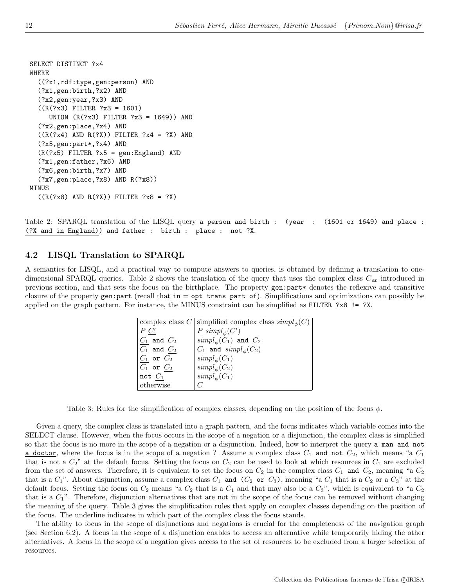```
SELECT DISTINCT ?x4
WHERE
  ((?x1,rdf:type,gen:person) AND
  (?x1,gen:birth,?x2) AND
  (?x2,gen:year,?x3) AND
  ((R(?x3) FILTER ?x3 = 1601)
     UNION (R(?x3) FILTER ?x3 = 1649)) AND
  (?x2,gen:place,?x4) AND
  ((R(?x4) AND R(?X)) FILTER ?x4 = ?X) AND(?x5,gen:part*,?x4) AND
  (R(?x5) FILTER ?x5 = gen:England) AND
  (?x1,gen:father,?x6) AND
  (?x6,gen:birth,?x7) AND
  (?x7,gen:place,?x8) AND R(?x8))
MINUS
  ((R(?x8) AND R(?X)) FILTER ?x8 = ?X)
```
Table 2: SPARQL translation of the LISQL query a person and birth : (year : (1601 or 1649) and place : (?X and in England)) and father : birth : place : not ?X.

### 4.2 LISQL Translation to SPARQL

A semantics for LISQL, and a practical way to compute answers to queries, is obtained by defining a translation to onedimensional SPARQL queries. Table 2 shows the translation of the query that uses the complex class  $C_{ex}$  introduced in previous section, and that sets the focus on the birthplace. The property gen:part\* denotes the reflexive and transitive closure of the property gen:part (recall that  $in = opt$  trans part of). Simplifications and optimizations can possibly be applied on the graph pattern. For instance, the MINUS constraint can be simplified as FILTER ?x8 != ?X.

|                    | complex class $C$ simplified complex class $simpl_0(C)$ |
|--------------------|---------------------------------------------------------|
| $P \underline{C'}$ | P $\operatorname{simpl}_\phi(C')$                       |
| $C_1$ and $C_2$    | $\operatorname{simpl}_{\phi}(C_1)$ and $C_2$            |
| $C_1$ and $C_2$    | $C_1$ and $simpl_{\phi}(C_2)$                           |
| $C_1$ or $C_2$     | $\text{simpl}_{\phi}(C_1)$                              |
| $C_1$ or $C_2$     | $simpl_{\phi}(C_2)$                                     |
| not $C_1$          | $simpl_{\phi}(C_1)$                                     |
| otherwise          |                                                         |

Table 3: Rules for the simplification of complex classes, depending on the position of the focus  $\phi$ .

Given a query, the complex class is translated into a graph pattern, and the focus indicates which variable comes into the SELECT clause. However, when the focus occurs in the scope of a negation or a disjunction, the complex class is simplified so that the focus is no more in the scope of a negation or a disjunction. Indeed, how to interpret the query a man and not a doctor, where the focus is in the scope of a negation? Assume a complex class  $C_1$  and not  $C_2$ , which means "a  $C_1$ that is not a  $C_2$ " at the default focus. Setting the focus on  $C_2$  can be used to look at which resources in  $C_1$  are excluded from the set of answers. Therefore, it is equivalent to set the focus on  $C_2$  in the complex class  $C_1$  and  $C_2$ , meaning "a  $C_2$ that is a  $C_1$ ". About disjunction, assume a complex class  $C_1$  and  $(C_2$  or  $C_3$ ), meaning "a  $C_1$  that is a  $C_2$  or a  $C_3$ " at the default focus. Setting the focus on  $C_2$  means "a  $C_2$  that is a  $C_1$  and that may also be a  $C_3$ ", which is equivalent to "a  $C_2$ that is a  $C_1$ ". Therefore, disjunction alternatives that are not in the scope of the focus can be removed without changing the meaning of the query. Table 3 gives the simplification rules that apply on complex classes depending on the position of the focus. The underline indicates in which part of the complex class the focus stands.

The ability to focus in the scope of disjunctions and negations is crucial for the completeness of the navigation graph (see Section 6.2). A focus in the scope of a disjunction enables to access an alternative while temporarily hiding the other alternatives. A focus in the scope of a negation gives access to the set of resources to be excluded from a larger selection of resources.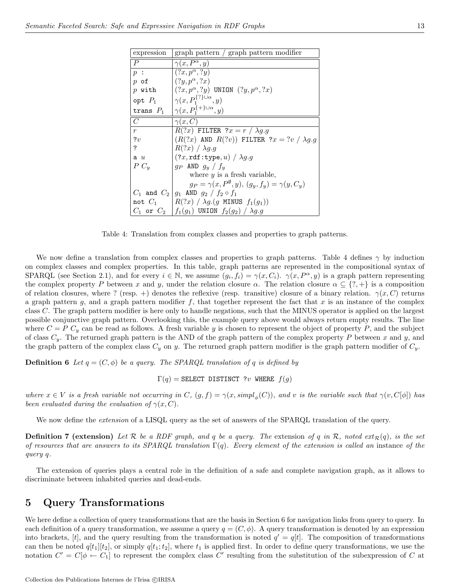| expression     | graph pattern / graph pattern modifier                           |
|----------------|------------------------------------------------------------------|
| P              | $\gamma(x, P^{\alpha}, y)$                                       |
| p:             | $(?x, p^\alpha, ?y)$                                             |
| $p$ of         | $(?y, p^{\alpha}, ?x)$                                           |
| $p$ with       | $(?x, p^{\alpha}, ?y)$ UNION $(?y, p^{\alpha}, ?x)$              |
| opt $P_1$      | $\gamma(x, P_1^{\{? \} \cup \alpha}, y)$                         |
| trans $P_1$    | $\gamma(x, P_1^{\{\frac{1}{3}\}\cup\alpha}, y)$                  |
| $\mathcal{C}$  | $\gamma(x,C)$                                                    |
| $\overline{r}$ | $R(?x)$ FILTER $?x = r / \lambda g.g$                            |
| 7v             | $(R(?x)$ AND $R(?v))$ FILTER $?x = ?v / \lambda g.g$             |
| ?              | $R(?x) / \lambda q.g$                                            |
| a u            | $(?x, \text{rdf:type}, u) / \lambda q.g$                         |
| $P C_u$        | $g_P$ AND $g_y / f_y$                                            |
|                | where $y$ is a fresh variable,                                   |
|                | $g_P = \gamma(x, P^{\emptyset}, y), (g_y, f_y) = \gamma(y, C_y)$ |
|                | $C_1$ and $C_2$ $g_1$ AND $g_2$ / $f_2 \circ f_1$                |
|                | not $C_1$ $\mid R(?x) / \lambda g.(g \text{ MINUS } f_1(g_1))$   |
|                | $C_1$ or $C_2$ $ f_1(g_1) $ UNION $f_2(g_2) / \lambda g.g$       |

Table 4: Translation from complex classes and properties to graph patterns.

We now define a translation from complex classes and properties to graph patterns. Table 4 defines  $\gamma$  by induction on complex classes and complex properties. In this table, graph patterns are represented in the compositional syntax of SPARQL (see Section 2.1), and for every  $i \in \mathbb{N}$ , we assume  $(g_i, f_i) = \gamma(x, C_i)$ .  $\gamma(x, P^{\alpha}, y)$  is a graph pattern representing the complex property P between x and y, under the relation closure  $\alpha$ . The relation closure  $\alpha \subseteq \{?, +\}$  is a composition of relation closures, where ? (resp. +) denotes the reflexive (resp. transitive) closure of a binary relation.  $\gamma(x, C)$  returns a graph pattern g, and a graph pattern modifier f, that together represent the fact that x is an instance of the complex class C. The graph pattern modifier is here only to handle negations, such that the MINUS operator is applied on the largest possible conjunctive graph pattern. Overlooking this, the example query above would always return empty results. The line where  $C = P C_y$  can be read as follows. A fresh variable y is chosen to represent the object of property P, and the subject of class  $C_y$ . The returned graph pattern is the AND of the graph pattern of the complex property P between x and y, and the graph pattern of the complex class  $C_y$  on y. The returned graph pattern modifier is the graph pattern modifier of  $C_y$ .

**Definition 6** Let  $q = (C, \phi)$  be a query. The SPARQL translation of q is defined by

 $\Gamma(q) =$  SELECT DISTINCT ?v WHERE  $f(q)$ 

where  $x \in V$  is a fresh variable not occurring in C,  $(g, f) = \gamma(x, \text{simpl}_{\phi}(C))$ , and v is the variable such that  $\gamma(v, C[\phi])$  has been evaluated during the evaluation of  $\gamma(x, C)$ .

We now define the *extension* of a LISQL query as the set of answers of the SPARQL translation of the query.

**Definition 7 (extension)** Let  $\mathcal{R}$  be a RDF graph, and q be a query. The extension of q in  $\mathcal{R}$ , noted ext $_{\mathcal{R}}(q)$ , is the set of resources that are answers to its SPARQL translation  $\Gamma(q)$ . Every element of the extension is called an instance of the query q.

The extension of queries plays a central role in the definition of a safe and complete navigation graph, as it allows to discriminate between inhabited queries and dead-ends.

# 5 Query Transformations

We here define a collection of query transformations that are the basis in Section 6 for navigation links from query to query. In each definition of a query transformation, we assume a query  $q = (C, \phi)$ . A query transformation is denoted by an expression into brackets, [t], and the query resulting from the transformation is noted  $q' = q[t]$ . The composition of transformations can then be noted  $q[t_1][t_2]$ , or simply  $q[t_1;t_2]$ , where  $t_1$  is applied first. In order to define query transformations, we use the notation  $C' = C[\phi \leftarrow C_1]$  to represent the complex class C' resulting from the substitution of the subexpression of C at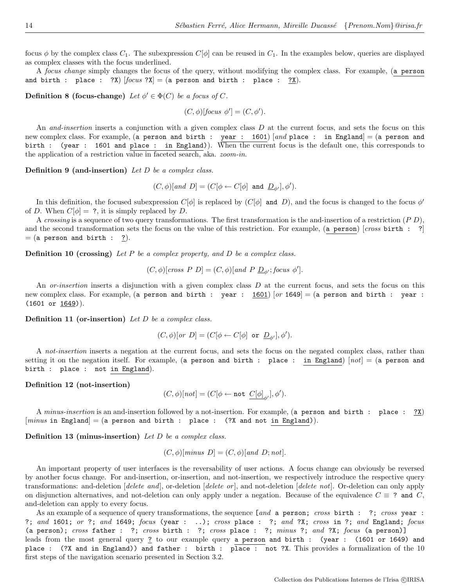focus φ by the complex class  $C_1$ . The subexpression  $C[\phi]$  can be reused in  $C_1$ . In the examples below, queries are displayed as complex classes with the focus underlined.

A focus change simply changes the focus of the query, without modifying the complex class. For example, (a person and birth : place : ?X)  $[focus ?X] = (a person and birth : place : ?X)$ .

**Definition 8 (focus-change)** Let  $\phi' \in \Phi(C)$  be a focus of C.

$$
(C, \phi)[focus \phi'] = (C, \phi').
$$

An and-insertion inserts a conjunction with a given complex class  $D$  at the current focus, and sets the focus on this new complex class. For example, (a person and birth : year : 1601) [and place : in England] = (a person and birth : (year : 1601 and place : in England)). When the current focus is the default one, this corresponds to the application of a restriction value in faceted search, aka. zoom-in.

**Definition 9 (and-insertion)** Let  $D$  be a complex class.

 $(C, \phi) [and D] = (C[\phi \leftarrow C[\phi] \text{ and } D_{\phi'}], \phi').$ 

In this definition, the focused subexpression  $C[\phi]$  is replaced by  $(C[\phi]$  and D), and the focus is changed to the focus  $\phi'$ of D. When  $C[\phi] = ?$ , it is simply replaced by D.

A crossing is a sequence of two query transformations. The first transformation is the and-insertion of a restriction  $(P D)$ , and the second transformation sets the focus on the value of this restriction. For example, (a person)  $[cross\, bit\, t\, : \, ?]$  $=$  (a person and birth :  $\frac{?}{?}$ ).

**Definition 10 (crossing)** Let P be a complex property, and D be a complex class.

$$
(C, \phi)[cross \ P \ D] = (C, \phi)[and \ P \ \underline{D}_{\phi'}; focus \ \phi'].
$$

An *or-insertion* inserts a disjunction with a given complex class  $D$  at the current focus, and sets the focus on this new complex class. For example, (a person and birth : year :  $1601$ ) [or 1649] = (a person and birth : year :  $(1601 \text{ or } \underline{1649})$ .

**Definition 11 (or-insertion)** Let  $D$  be a complex class.

$$
(C, \phi)[or D] = (C[\phi \leftarrow C[\phi] \text{ or } \underline{D}_{\phi'}], \phi').
$$

A not-insertion inserts a negation at the current focus, and sets the focus on the negated complex class, rather than setting it on the negation itself. For example, (a person and birth : place : in England)  $[not] = (a person and$ birth : place : not in England).

Definition 12 (not-insertion)

$$
(C,\phi)[not]=(C[\phi\leftarrow \texttt{not}\ \underline{C[\phi]}_{\phi'}],\phi').
$$

A minus-insertion is an and-insertion followed by a not-insertion. For example, (a person and birth : place : ?X)  $(minus \text{ in England}] = (a \text{ person and birth : place : } (?X \text{ and not in England})).$ 

Definition 13 (minus-insertion) Let D be a complex class.

$$
(C, \phi)
$$
[minus D] =  $(C, \phi)$ [and D; not].

An important property of user interfaces is the reversability of user actions. A focus change can obviously be reversed by another focus change. For and-insertion, or-insertion, and not-insertion, we respectively introduce the respective query transformations: and-deletion  $[delete \ and]$ , or-deletion  $[delete \ or]$ , and not-deletion  $[delete \ not]$ . Or-deletion can only apply on disjunction alternatives, and not-deletion can only apply under a negation. Because of the equivalence  $C \equiv ?$  and  $C$ , and-deletion can apply to every focus.

As an example of a sequence of query transformations, the sequence [and a person; cross birth : ?; cross year : ?; and 1601; or ?; and 1649; focus (year : ..); cross place : ?; and ?X; cross in ?; and England; focus (a person); cross father : ?; cross birth : ?; cross place : ?; minus ?; and ?X; focus (a person)] leads from the most general query ? to our example query a person and birth : (year : (1601 or 1649) and place : (?X and in England)) and father : birth : place : not ?X. This provides a formalization of the 10 first steps of the navigation scenario presented in Section 3.2.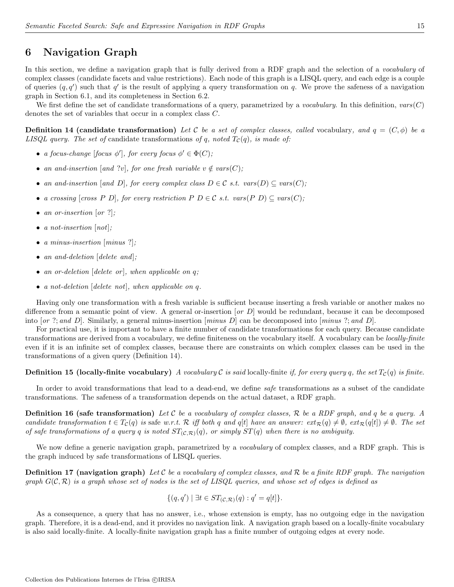# 6 Navigation Graph

In this section, we define a navigation graph that is fully derived from a RDF graph and the selection of a *vocabulary* of complex classes (candidate facets and value restrictions). Each node of this graph is a LISQL query, and each edge is a couple of queries  $(q, q')$  such that q' is the result of applying a query transformation on q. We prove the safeness of a navigation graph in Section 6.1, and its completeness in Section 6.2.

We first define the set of candidate transformations of a query, parametrized by a vocabulary. In this definition,  $vars(C)$ denotes the set of variables that occur in a complex class C.

**Definition 14 (candidate transformation)** Let C be a set of complex classes, called vocabulary, and  $q = (C, \phi)$  be a LISQL query. The set of candidate transformations of q, noted  $T_c(q)$ , is made of:

- a focus-change [focus  $\phi'$ ], for every focus  $\phi' \in \Phi(C)$ ;
- an and-insertion [and ?v], for one fresh variable  $v \notin vars(C)$ ;
- an and-insertion [and D], for every complex class  $D \in \mathcal{C}$  s.t. vars $(D) \subseteq \text{vars}(C)$ ;
- a crossing  $[cross P D]$ , for every restriction P  $D \in \mathcal{C}$  s.t. vars $(P D) \subseteq vars(C)$ ;
- an or-insertion  $[or ?]$ ;
- a not-insertion  $[not]$ ;
- a minus-insertion [minus ?];
- an and-deletion [delete and];
- an or-deletion  $\lceil$  delete or  $\rceil$ , when applicable on q;
- a not-deletion [delete not], when applicable on q.

Having only one transformation with a fresh variable is sufficient because inserting a fresh variable or another makes no difference from a semantic point of view. A general or-insertion  $[or D]$  would be redundant, because it can be decomposed into  $[or ?; and D]$ . Similarly, a general minus-insertion  $\lfloor minus D \rfloor$  can be decomposed into  $\lfloor minus ?; and D \rfloor$ .

For practical use, it is important to have a finite number of candidate transformations for each query. Because candidate transformations are derived from a vocabulary, we define finiteness on the vocabulary itself. A vocabulary can be locally-finite even if it is an infinite set of complex classes, because there are constraints on which complex classes can be used in the transformations of a given query (Definition 14).

#### **Definition 15 (locally-finite vocabulary)** A vocabulary C is said locally-finite if, for every query q, the set  $T_c(q)$  is finite.

In order to avoid transformations that lead to a dead-end, we define *safe* transformations as a subset of the candidate transformations. The safeness of a transformation depends on the actual dataset, a RDF graph.

**Definition 16 (safe transformation)** Let C be a vocabulary of complex classes,  $\mathcal{R}$  be a RDF graph, and q be a query. A candidate transformation  $t \in T_c(q)$  is safe w.r.t. R iff both q and q[t] have an answer:  $ext_{\mathcal{R}}(q) \neq \emptyset$ ,  $ext_{\mathcal{R}}(q[t]) \neq \emptyset$ . The set of safe transformations of a query q is noted  $ST_{(\mathcal{C},\mathcal{R})}(q)$ , or simply  $ST(q)$  when there is no ambiguity.

We now define a generic navigation graph, parametrized by a *vocabulary* of complex classes, and a RDF graph. This is the graph induced by safe transformations of LISQL queries.

**Definition 17 (navigation graph)** Let C be a vocabulary of complex classes, and R be a finite RDF graph. The navigation graph  $G(\mathcal{C},\mathcal{R})$  is a graph whose set of nodes is the set of LISQL queries, and whose set of edges is defined as

$$
\{(q,q') \mid \exists t \in ST_{(\mathcal{C},\mathcal{R})}(q) : q' = q[t] \}.
$$

As a consequence, a query that has no answer, i.e., whose extension is empty, has no outgoing edge in the navigation graph. Therefore, it is a dead-end, and it provides no navigation link. A navigation graph based on a locally-finite vocabulary is also said locally-finite. A locally-finite navigation graph has a finite number of outgoing edges at every node.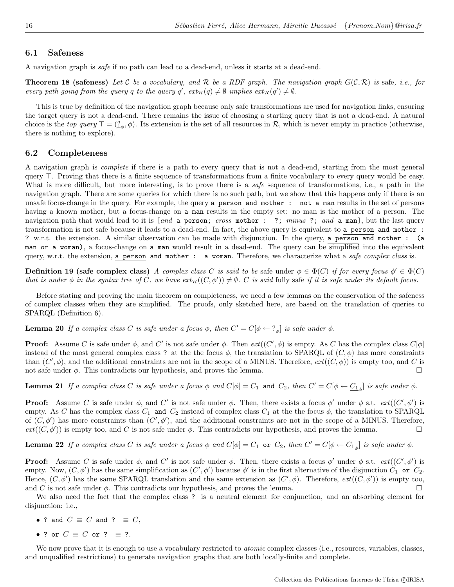#### 6.1 Safeness

A navigation graph is safe if no path can lead to a dead-end, unless it starts at a dead-end.

**Theorem 18 (safeness)** Let C be a vocabulary, and R be a RDF graph. The navigation graph  $G(C, \mathcal{R})$  is safe, i.e., for every path going from the query q to the query  $q'$ ,  $ext_{\mathcal{R}}(q) \neq \emptyset$  implies  $ext_{\mathcal{R}}(q') \neq \emptyset$ .

This is true by definition of the navigation graph because only safe transformations are used for navigation links, ensuring the target query is not a dead-end. There remains the issue of choosing a starting query that is not a dead-end. A natural choice is the top query  $\top = (\underline{?}_{\phi}, \phi)$ . Its extension is the set of all resources in R, which is never empty in practice (otherwise, there is nothing to explore).

#### 6.2 Completeness

A navigation graph is complete if there is a path to every query that is not a dead-end, starting from the most general query  $\top$ . Proving that there is a finite sequence of transformations from a finite vocabulary to every query would be easy. What is more difficult, but more interesting, is to prove there is a *safe* sequence of transformations, i.e., a path in the navigation graph. There are some queries for which there is no such path, but we show that this happens only if there is an unsafe focus-change in the query. For example, the query a person and mother : not a man results in the set of persons having a known mother, but a focus-change on a man results in the empty set: no man is the mother of a person. The navigation path that would lead to it is [and a person; cross mother : ?; minus ?; and a man], but the last query transformation is not safe because it leads to a dead-end. In fact, the above query is equivalent to a person and mother : ? w.r.t. the extension. A similar observation can be made with disjunction. In the query, a person and mother : (a man or a woman), a focus-change on a man would result in a dead-end. The query can be simplified into the equivalent query, w.r.t. the extension, a person and mother : a woman. Therefore, we characterize what a safe complex class is.

**Definition 19 (safe complex class)** A complex class C is said to be safe under  $\phi \in \Phi(C)$  if for every focus  $\phi' \in \Phi(C)$ that is under  $\phi$  in the syntax tree of C, we have  $ext_{\mathcal{R}}((C, \phi')) \neq \emptyset$ . C is said fully safe if it is safe under its default focus.

Before stating and proving the main theorem on completeness, we need a few lemmas on the conservation of the safeness of complex classes when they are simplified. The proofs, only sketched here, are based on the translation of queries to SPARQL (Definition 6).

**Lemma 20** If a complex class C is safe under a focus  $\phi$ , then  $C' = C[\phi \leftarrow \frac{2}{\phi}]$  is safe under  $\phi$ .

**Proof:** Assume C is safe under  $\phi$ , and C' is not safe under  $\phi$ . Then  $ext((C', \phi)$  is empty. As C has the complex class  $C[\phi]$ instead of the most general complex class ? at the the focus  $\phi$ , the translation to SPARQL of  $(C, \phi)$  has more constraints than  $(C', \phi)$ , and the additional constraints are not in the scope of a MINUS. Therefore,  $ext((C, \phi))$  is empty too, and C is not safe under  $\phi$ . This contradicts our hypothesis, and proves the lemma.

**Lemma 21** If a complex class C is safe under a focus  $\phi$  and  $C[\phi] = C_1$  and  $C_2$ , then  $C' = C[\phi \leftarrow C_{1_{\phi}}]$  is safe under  $\phi$ .

**Proof:** Assume C is safe under  $\phi$ , and C' is not safe under  $\phi$ . Then, there exists a focus  $\phi'$  under  $\phi$  s.t.  $ext((C', \phi')$  is empty. As C has the complex class  $C_1$  and  $C_2$  instead of complex class  $C_1$  at the the focus  $\phi$ , the translation to SPARQL of  $(C, \phi')$  has more constraints than  $(C', \phi')$ , and the additional constraints are not in the scope of a MINUS. Therefore,  $ext((C, \phi'))$  is empty too, and C is not safe under  $\phi$ . This contradicts our hypothesis, and proves the lemma.

**Lemma 22** If a complex class C is safe under a focus  $\phi$  and  $C[\phi] = C_1$  or  $C_2$ , then  $C' = C[\phi \leftarrow C_{1_{\phi}}]$  is safe under  $\phi$ .

**Proof:** Assume C is safe under  $\phi$ , and C' is not safe under  $\phi$ . Then, there exists a focus  $\phi'$  under  $\phi$  s.t.  $ext((C', \phi')$  is empty. Now,  $(C, \phi')$  has the same simplification as  $(C', \phi')$  because  $\phi'$  is in the first alternative of the disjunction  $C_1$  or  $C_2$ . Hence,  $(C, \phi')$  has the same SPARQL translation and the same extension as  $(C', \phi)$ . Therefore,  $ext((C, \phi'))$  is empty too, and C is not safe under  $\phi$ . This contradicts our hypothesis, and proves the lemma.

We also need the fact that the complex class ? is a neutral element for conjunction, and an absorbing element for disjunction: i.e.,

- ? and  $C \equiv C$  and ?  $\equiv C$ ,
- ? or  $C \equiv C$  or ?  $\equiv$  ?.

We now prove that it is enough to use a vocabulary restricted to *atomic* complex classes (i.e., resources, variables, classes, and unqualified restrictions) to generate navigation graphs that are both locally-finite and complete.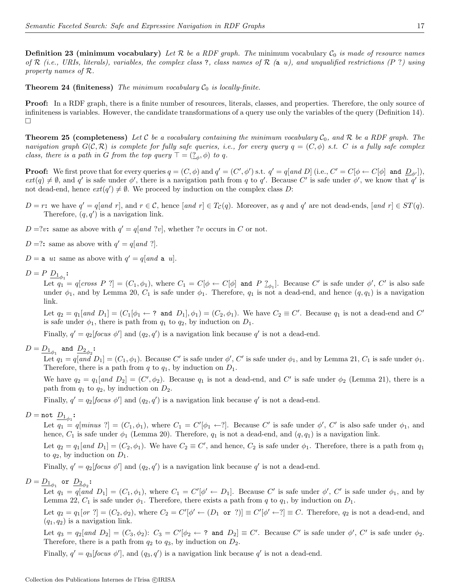**Theorem 24 (finiteness)** The minimum vocabulary  $C_0$  is locally-finite.

Proof: In a RDF graph, there is a finite number of resources, literals, classes, and properties. Therefore, the only source of infiniteness is variables. However, the candidate transformations of a query use only the variables of the query (Definition 14).  $\Box$ 

**Theorem 25 (completeness)** Let C be a vocabulary containing the minimum vocabulary  $C_0$ , and R be a RDF graph. The navigation graph  $G(\mathcal{C}, \mathcal{R})$  is complete for fully safe queries, i.e., for every query  $q = (C, \phi)$  s.t. C is a fully safe complex class, there is a path in G from the top query  $\top = (\underline{?}_\phi, \phi)$  to q.

**Proof:** We first prove that for every queries  $q = (C, \phi)$  and  $q' = (C', \phi')$  s.t.  $q' = q[and D]$  (i.e.,  $C' = C[\phi \leftarrow C[\phi]$  and  $D_{\phi'}]$ ),  $ext(q) \neq \emptyset$ , and q' is safe under  $\phi'$ , there is a navigation path from q to q'. Because C' is safe under  $\phi'$ , we know that q' is not dead-end, hence  $ext(q') \neq \emptyset$ . We proceed by induction on the complex class D:

- $D = r$ : we have  $q' = q[and r]$ , and  $r \in \mathcal{C}$ , hence  $[and r] \in T_{\mathcal{C}}(q)$ . Moreover, as q and q' are not dead-ends,  $[and r] \in ST(q)$ . Therefore,  $(q, q')$  is a navigation link.
- $D = ?v$ : same as above with  $q' = q[and ?v]$ , whether ?v occurs in C or not.
- D =?: same as above with  $q' = q$ [and ?].

 $D = a$  u: same as above with  $q' = q[and a u]$ .

 $D = P \; \underline{D_1}_{\phi_1}$ :

Let  $q_1 = q[cross P ?] = (C_1, \phi_1)$ , where  $C_1 = C[\phi \leftarrow C[\phi]$  and  $P ?_{\phi_1}]$ . Because C' is safe under  $\phi'$ , C' is also safe under  $\phi_1$ , and by Lemma 20,  $C_1$  is safe under  $\phi_1$ . Therefore,  $q_1$  is not a dead-end, and hence  $(q, q_1)$  is a navigation link.

Let  $q_2 = q_1[$ and  $D_1] = (C_1[\phi_1 \leftarrow ? \text{ and } D_1], \phi_1) = (C_2, \phi_1)$ . We have  $C_2 \equiv C'$ . Because  $q_1$  is not a dead-end and  $C'$ is safe under  $\phi_1$ , there is path from  $q_1$  to  $q_2$ , by induction on  $D_1$ .

Finally,  $q' = q_2$ [focus  $\phi'$ ] and  $(q_2, q')$  is a navigation link because q' is not a dead-end.

 $D=\underline{D_{1}}_{\phi_{1}}$  and  $\underline{D_{2}}_{\phi_{2}}$ :

Let  $q_1 = q[and D_1] = (C_1, \phi_1)$ . Because C' is safe under  $\phi'$ , C' is safe under  $\phi_1$ , and by Lemma 21,  $C_1$  is safe under  $\phi_1$ . Therefore, there is a path from  $q$  to  $q_1$ , by induction on  $D_1$ .

We have  $q_2 = q_1[and D_2] = (C', \phi_2)$ . Because  $q_1$  is not a dead-end, and C' is safe under  $\phi_2$  (Lemma 21), there is a path from  $q_1$  to  $q_2$ , by induction on  $D_2$ .

Finally,  $q' = q_2$ [focus  $\phi'$ ] and  $(q_2, q')$  is a navigation link because q' is not a dead-end.

# $D = \mathtt{not}\ \underline{D_{1}}_{\phi_1}$ :

Let  $q_1 = q[\text{minus } ?] = (C_1, \phi_1)$ , where  $C_1 = C'[\phi_1 \leftarrow ?]$ . Because C' is safe under  $\phi'$ , C' is also safe under  $\phi_1$ , and hence,  $C_1$  is safe under  $\phi_1$  (Lemma 20). Therefore,  $q_1$  is not a dead-end, and  $(q, q_1)$  is a navigation link.

Let  $q_2 = q_1[$ and  $D_1] = (C_2, \phi_1)$ . We have  $C_2 \equiv C'$ , and hence,  $C_2$  is safe under  $\phi_1$ . Therefore, there is a path from  $q_1$ to  $q_2$ , by induction on  $D_1$ .

Finally,  $q' = q_2$ [focus  $\phi'$ ] and  $(q_2, q')$  is a navigation link because q' is not a dead-end.

$$
D=\underline{D_1}_{\phi_1}\text{ or }\underline{D_2}_{\phi_2}\text{:}
$$

Let  $q_1 = q[and D_1] = (C_1, \phi_1)$ , where  $C_1 = C'[\phi' \leftarrow D_1]$ . Because C' is safe under  $\phi'$ , C' is safe under  $\phi_1$ , and by Lemma 22,  $C_1$  is safe under  $\phi_1$ . Therefore, there exists a path from q to  $q_1$ , by induction on  $D_1$ .

Let  $q_2 = q_1[or ?] = (C_2, \phi_2)$ , where  $C_2 = C'[\phi' \leftarrow (D_1 \text{ or } ?)] \equiv C'[\phi' \leftarrow ?] \equiv C$ . Therefore,  $q_2$  is not a dead-end, and  $(q_1, q_2)$  is a navigation link.

Let  $q_3 = q_2[$ and  $D_2] = (C_3, \phi_2)$ :  $C_3 = C'[\phi_2 \leftarrow ?$  and  $D_2] \equiv C'$ . Because C' is safe under  $\phi'$ , C' is safe under  $\phi_2$ . Therefore, there is a path from  $q_2$  to  $q_3$ , by induction on  $D_2$ .

Finally,  $q' = q_3$  [focus  $\phi'$ ], and  $(q_3, q')$  is a navigation link because q' is not a dead-end.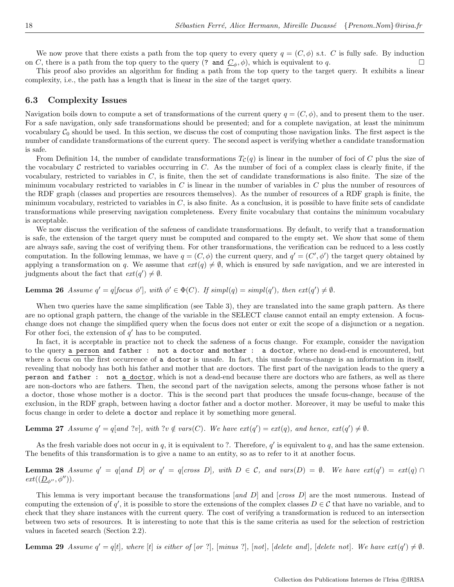We now prove that there exists a path from the top query to every query  $q = (C, \phi)$  s.t. C is fully safe. By induction on C, there is a path from the top query to the query (? and  $\underline{C}_{\phi}$ ,  $\phi$ ), which is equivalent to q.

This proof also provides an algorithm for finding a path from the top query to the target query. It exhibits a linear complexity, i.e., the path has a length that is linear in the size of the target query.

#### 6.3 Complexity Issues

Navigation boils down to compute a set of transformations of the current query  $q = (C, \phi)$ , and to present them to the user. For a safe navigation, only safe transformations should be presented; and for a complete navigation, at least the minimum vocabulary  $C_0$  should be used. In this section, we discuss the cost of computing those navigation links. The first aspect is the number of candidate transformations of the current query. The second aspect is verifying whether a candidate transformation is safe.

From Definition 14, the number of candidate transformations  $T_c(q)$  is linear in the number of foci of C plus the size of the vocabulary  $C$  restricted to variables occurring in  $C$ . As the number of foci of a complex class is clearly finite, if the vocabulary, restricted to variables in  $C$ , is finite, then the set of candidate transformations is also finite. The size of the minimum vocabulary restricted to variables in  $C$  is linear in the number of variables in  $C$  plus the number of resources of the RDF graph (classes and properties are resources themselves). As the number of resources of a RDF graph is finite, the minimum vocabulary, restricted to variables in  $C$ , is also finite. As a conclusion, it is possible to have finite sets of candidate transformations while preserving navigation completeness. Every finite vocabulary that contains the minimum vocabulary is acceptable.

We now discuss the verification of the safeness of candidate transformations. By default, to verify that a transformation is safe, the extension of the target query must be computed and compared to the empty set. We show that some of them are always safe, saving the cost of verifying them. For other transformations, the verification can be reduced to a less costly computation. In the following lemmas, we have  $q = (C, \phi)$  the current query, and  $q' = (C', \phi')$  the target query obtained by applying a transformation on q. We assume that  $ext(q) \neq \emptyset$ , which is ensured by safe navigation, and we are interested in judgments about the fact that  $ext(q') \neq \emptyset$ .

**Lemma 26** Assume  $q' = q$  [focus  $\phi'$ ], with  $\phi' \in \Phi(C)$ . If  $simpl(q) = simpl(q')$ , then  $ext(q') \neq \emptyset$ .

When two queries have the same simplification (see Table 3), they are translated into the same graph pattern. As there are no optional graph pattern, the change of the variable in the SELECT clause cannot entail an empty extension. A focuschange does not change the simplified query when the focus does not enter or exit the scope of a disjunction or a negation. For other foci, the extension of  $q'$  has to be computed.

In fact, it is acceptable in practice not to check the safeness of a focus change. For example, consider the navigation to the query a person and father : not a doctor and mother : a doctor, where no dead-end is encountered, but where a focus on the first occurrence of a doctor is unsafe. In fact, this unsafe focus-change is an information in itself, revealing that nobody has both his father and mother that are doctors. The first part of the navigation leads to the query a person and father : not a doctor, which is not a dead-end because there are doctors who are fathers, as well as there are non-doctors who are fathers. Then, the second part of the navigation selects, among the persons whose father is not a doctor, those whose mother is a doctor. This is the second part that produces the unsafe focus-change, because of the exclusion, in the RDF graph, between having a doctor father and a doctor mother. Moreover, it may be useful to make this focus change in order to delete a doctor and replace it by something more general.

**Lemma 27** Assume  $q' = q[and ?v]$ , with  $?v \notin vars(C)$ . We have  $ext(q') = ext(q)$ , and hence,  $ext(q') \neq \emptyset$ .

As the fresh variable does not occur in q, it is equivalent to ?. Therefore,  $q'$  is equivalent to q, and has the same extension. The benefits of this transformation is to give a name to an entity, so as to refer to it at another focus.

**Lemma 28** Assume  $q' = q$ [and D] or  $q' = q$ [cross D], with  $D \in \mathcal{C}$ , and vars(D) =  $\emptyset$ . We have  $ext(q') = ext(q) \cap$  $ext((\underline{D}_{\phi''}, \phi'')).$ 

This lemma is very important because the transformations [and D] and [cross D] are the most numerous. Instead of computing the extension of  $q'$ , it is possible to store the extensions of the complex classes  $D \in \mathcal{C}$  that have no variable, and to check that they share instances with the current query. The cost of verifying a transformation is reduced to an intersection between two sets of resources. It is interesting to note that this is the same criteria as used for the selection of restriction values in faceted search (Section 2.2).

**Lemma 29** Assume  $q' = q[t]$ , where [t] is either of [or ?], [minus ?], [not], [delete and], [delete not]. We have  $ext(q') \neq \emptyset$ .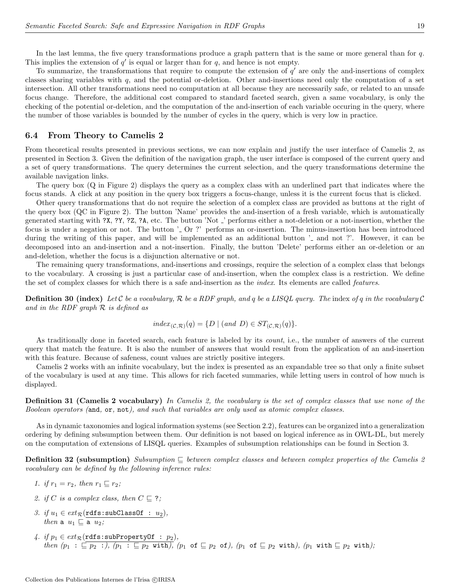In the last lemma, the five query transformations produce a graph pattern that is the same or more general than for q. This implies the extension of  $q'$  is equal or larger than for  $q$ , and hence is not empty.

To summarize, the transformations that require to compute the extension of  $q'$  are only the and-insertions of complex classes sharing variables with  $q$ , and the potential or-deletion. Other and-insertions need only the computation of a set intersection. All other transformations need no computation at all because they are necessarily safe, or related to an unsafe focus change. Therefore, the additional cost compared to standard faceted search, given a same vocabulary, is only the checking of the potential or-deletion, and the computation of the and-insertion of each variable occuring in the query, where the number of those variables is bounded by the number of cycles in the query, which is very low in practice.

#### 6.4 From Theory to Camelis 2

From theoretical results presented in previous sections, we can now explain and justify the user interface of Camelis 2, as presented in Section 3. Given the definition of the navigation graph, the user interface is composed of the current query and a set of query transformations. The query determines the current selection, and the query transformations determine the available navigation links.

The query box (Q in Figure 2) displays the query as a complex class with an underlined part that indicates where the focus stands. A click at any position in the query box triggers a focus-change, unless it is the current focus that is clicked.

Other query transformations that do not require the selection of a complex class are provided as buttons at the right of the query box (QC in Figure 2). The button 'Name' provides the and-insertion of a fresh variable, which is automatically generated starting with ?X, ?Y, ?Z, ?A, etc. The button 'Not ' performs either a not-deletion or a not-insertion, whether the focus is under a negation or not. The button '. Or ?' performs an or-insertion. The minus-insertion has been introduced during the writing of this paper, and will be implemented as an additional button ' and not ?'. However, it can be decomposed into an and-insertion and a not-insertion. Finally, the button 'Delete' performs either an or-deletion or an and-deletion, whether the focus is a disjunction alternative or not.

The remaining query transformations, and-insertions and crossings, require the selection of a complex class that belongs to the vocabulary. A crossing is just a particular case of and-insertion, when the complex class is a restriction. We define the set of complex classes for which there is a safe and-insertion as the *index*. Its elements are called *features*.

**Definition 30 (index)** Let C be a vocabulary, R be a RDF graph, and q be a LISQL query. The index of q in the vocabulary C and in the RDF graph  $\mathcal R$  is defined as

$$
index_{(\mathcal{C}, \mathcal{R})}(q) = \{ D \mid (and \ D) \in ST_{(\mathcal{C}, \mathcal{R})}(q) \}.
$$

As traditionally done in faceted search, each feature is labeled by its count, i.e., the number of answers of the current query that match the feature. It is also the number of answers that would result from the application of an and-insertion with this feature. Because of safeness, count values are strictly positive integers.

Camelis 2 works with an infinite vocabulary, but the index is presented as an expandable tree so that only a finite subset of the vocabulary is used at any time. This allows for rich faceted summaries, while letting users in control of how much is displayed.

Definition 31 (Camelis 2 vocabulary) In Camelis 2, the vocabulary is the set of complex classes that use none of the Boolean operators (and, or, not), and such that variables are only used as atomic complex classes.

As in dynamic taxonomies and logical information systems (see Section 2.2), features can be organized into a generalization ordering by defining subsumption between them. Our definition is not based on logical inference as in OWL-DL, but merely on the computation of extensions of LISQL queries. Examples of subsumption relationships can be found in Section 3.

**Definition 32 (subsumption)** Subsumption  $\subseteq$  between complex classes and between complex properties of the Camelis 2 vocabulary can be defined by the following inference rules:

- 1. if  $r_1 = r_2$ , then  $r_1 \sqsubset r_2$ ;
- 2. if C is a complex class, then  $C \subseteq ?$ ;
- 3. if  $u_1 \in ext_{\mathcal{R}}(\texttt{rdfs:subClassOf} : u_2),$ then a  $u_1 \sqsubseteq$  a  $u_2$ ;
- 4. if  $p_1 \in ext_{\mathcal{R}}(\texttt{rdfs:subPropertyOf} \; : \; p_2),$  $then\,\,(p_1\;:\;\sqsubseteq p_2\;:\,),\,\,(p_1\;:\;\sqsubseteq p_2\; \text{ with}),\,\,(p_1\; \text{ of } \sqsubseteq p_2\; \text{ of}),\,\,(p_1\; \text{ of } \sqsubseteq p_2\; \text{ with}),\,\,(p_1\; \text{ with } \sqsubseteq p_2\; \text{ with}),$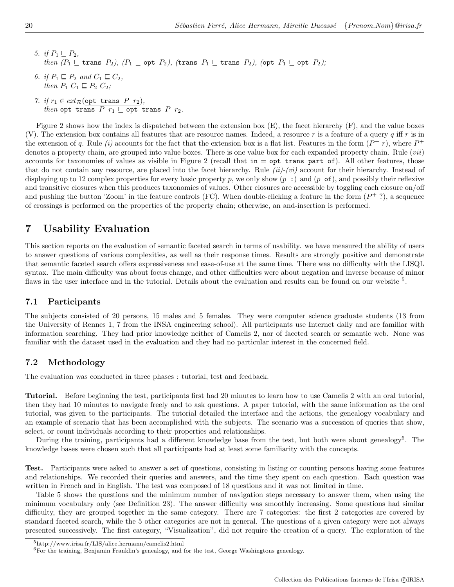- 5. if  $P_1 \sqsubseteq P_2$ , then  $(P_1 \sqsubseteq \text{trans } P_2)$ ,  $(P_1 \sqsubseteq \text{opt } P_2)$ ,  $(\text{trans } P_1 \sqsubseteq \text{trans } P_2)$ ,  $(\text{opt } P_1 \sqsubseteq \text{opt } P_2)$ ;
- 6. if  $P_1 \sqsubseteq P_2$  and  $C_1 \sqsubseteq C_2$ , then  $P_1$   $C_1 \sqsubseteq P_2$   $C_2$ ;
- 7. if  $r_1 \in ext_{\mathcal{R}}(\text{opt trans } P r_2),$ then opt trans  $P$   $r_1 \sqsubseteq$  opt trans  $P$   $r_2$ .

Figure 2 shows how the index is dispatched between the extension box (E), the facet hierarchy (F), and the value boxes (V). The extension box contains all features that are resource names. Indeed, a resource r is a feature of a query q iff r is in the extension of q. Rule (i) accounts for the fact that the extension box is a flat list. Features in the form  $(P^+ r)$ , where  $P^+$ denotes a property chain, are grouped into value boxes. There is one value box for each expanded property chain. Rule  $(vii)$ accounts for taxonomies of values as visible in Figure 2 (recall that  $in = opt$  trans part of). All other features, those that do not contain any resource, are placed into the facet hierarchy. Rule  $(ii)-(vi)$  account for their hierarchy. Instead of displaying up to 12 complex properties for every basic property p, we only show  $(p \cdot)$  and  $(p \cdot \sigma f)$ , and possibly their reflexive and transitive closures when this produces taxonomies of values. Other closures are accessible by toggling each closure on/off and pushing the button 'Zoom' in the feature controls (FC). When double-clicking a feature in the form  $(P^+$ ?), a sequence of crossings is performed on the properties of the property chain; otherwise, an and-insertion is performed.

# 7 Usability Evaluation

This section reports on the evaluation of semantic faceted search in terms of usability. we have measured the ability of users to answer questions of various complexities, as well as their response times. Results are strongly positive and demonstrate that semantic faceted search offers expressiveness and ease-of-use at the same time. There was no difficulty with the LISQL syntax. The main difficulty was about focus change, and other difficulties were about negation and inverse because of minor flaws in the user interface and in the tutorial. Details about the evaluation and results can be found on our website <sup>5</sup>.

### 7.1 Participants

The subjects consisted of 20 persons, 15 males and 5 females. They were computer science graduate students (13 from the University of Rennes 1, 7 from the INSA engineering school). All participants use Internet daily and are familiar with information searching. They had prior knowledge neither of Camelis 2, nor of faceted search or semantic web. None was familiar with the dataset used in the evaluation and they had no particular interest in the concerned field.

### 7.2 Methodology

The evaluation was conducted in three phases : tutorial, test and feedback.

Tutorial. Before beginning the test, participants first had 20 minutes to learn how to use Camelis 2 with an oral tutorial, then they had 10 minutes to navigate freely and to ask questions. A paper tutorial, with the same information as the oral tutorial, was given to the participants. The tutorial detailed the interface and the actions, the genealogy vocabulary and an example of scenario that has been accomplished with the subjects. The scenario was a succession of queries that show, select, or count individuals according to their properties and relationships.

During the training, participants had a different knowledge base from the test, but both were about genealogy<sup>6</sup>. The knowledge bases were chosen such that all participants had at least some familiarity with the concepts.

Test. Participants were asked to answer a set of questions, consisting in listing or counting persons having some features and relationships. We recorded their queries and answers, and the time they spent on each question. Each question was written in French and in English. The test was composed of 18 questions and it was not limited in time.

Table 5 shows the questions and the minimum number of navigation steps necessary to answer them, when using the minimum vocabulary only (see Definition 23). The answer difficulty was smoothly increasing. Some questions had similar difficulty, they are grouped together in the same category. There are 7 categories: the first 2 categories are covered by standard faceted search, while the 5 other categories are not in general. The questions of a given category were not always presented successively. The first category, "Visualization", did not require the creation of a query. The exploration of the

<sup>5</sup>http://www.irisa.fr/LIS/alice.hermann/camelis2.html

 $6$  For the training, Benjamin Franklin's genealogy, and for the test, George Washingtons genealogy.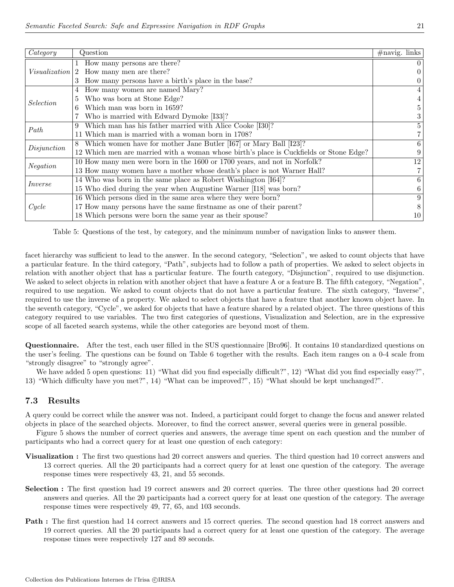| Category         | Question                                                                               | $\#$ navig. links |
|------------------|----------------------------------------------------------------------------------------|-------------------|
|                  | 1 How many persons are there?                                                          |                   |
| Visualization    | 2 How many men are there?                                                              |                   |
|                  | 3 How many persons have a birth's place in the base?                                   |                   |
|                  | How many women are named Mary?                                                         |                   |
| <i>Selection</i> | Who was born at Stone Edge?                                                            |                   |
|                  | Which man was born in 1659?<br>6.                                                      |                   |
|                  | Who is married with Edward Dymoke [I33]?                                               |                   |
| Path             | Which man has his father married with Alice Cooke [I30]?<br>9                          | 5                 |
|                  | 11 Which man is married with a woman born in 1708?                                     |                   |
| Disjunction      | Which women have for mother Jane Butler [167] or Mary Ball [123]?                      | 6                 |
|                  | 12 Which men are married with a woman whose birth's place is Cuckfields or Stone Edge? |                   |
| <b>Negation</b>  | 10 How many men were born in the 1600 or 1700 years, and not in Norfolk?               | 12                |
|                  | 13 How many women have a mother whose death's place is not Warner Hall?                |                   |
| Inverse          | 14 Who was born in the same place as Robert Washington [164]?                          | 6                 |
|                  | 15 Who died during the year when Augustine Warner [118] was born?                      | 6.                |
|                  | 16 Which persons died in the same area where they were born?                           | 9                 |
| Cycle            | 17 How many persons have the same firstname as one of their parent?                    |                   |
|                  | 18 Which persons were born the same year as their spouse?                              | 10                |

Table 5: Questions of the test, by category, and the minimum number of navigation links to answer them.

facet hierarchy was sufficient to lead to the answer. In the second category, "Selection", we asked to count objects that have a particular feature. In the third category, "Path", subjects had to follow a path of properties. We asked to select objects in relation with another object that has a particular feature. The fourth category, "Disjunction", required to use disjunction. We asked to select objects in relation with another object that have a feature A or a feature B. The fifth category, "Negation", required to use negation. We asked to count objects that do not have a particular feature. The sixth category, "Inverse", required to use the inverse of a property. We asked to select objects that have a feature that another known object have. In the seventh category, "Cycle", we asked for objects that have a feature shared by a related object. The three questions of this category required to use variables. The two first categories of questions, Visualization and Selection, are in the expressive scope of all faceted search systems, while the other categories are beyond most of them.

Questionnaire. After the test, each user filled in the SUS questionnaire [Bro96]. It contains 10 standardized questions on the user's feeling. The questions can be found on Table 6 together with the results. Each item ranges on a 0-4 scale from "strongly disagree" to "strongly agree".

We have added 5 open questions: 11) "What did you find especially difficult?", 12) "What did you find especially easy?", 13) "Which difficulty have you met?", 14) "What can be improved?", 15) "What should be kept unchanged?".

### 7.3 Results

A query could be correct while the answer was not. Indeed, a participant could forget to change the focus and answer related objects in place of the searched objects. Moreover, to find the correct answer, several queries were in general possible.

Figure 5 shows the number of correct queries and answers, the average time spent on each question and the number of participants who had a correct query for at least one question of each category:

- Visualization : The first two questions had 20 correct answers and queries. The third question had 10 correct answers and 13 correct queries. All the 20 participants had a correct query for at least one question of the category. The average response times were respectively 43, 21, and 55 seconds.
- Selection : The first question had 19 correct answers and 20 correct queries. The three other questions had 20 correct answers and queries. All the 20 participants had a correct query for at least one question of the category. The average response times were respectively 49, 77, 65, and 103 seconds.
- Path : The first question had 14 correct answers and 15 correct queries. The second question had 18 correct answers and 19 correct queries. All the 20 participants had a correct query for at least one question of the category. The average response times were respectively 127 and 89 seconds.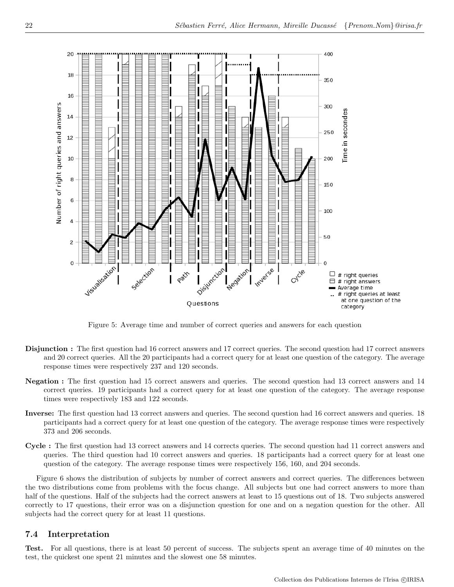

Figure 5: Average time and number of correct queries and answers for each question

- Disjunction : The first question had 16 correct answers and 17 correct queries. The second question had 17 correct answers and 20 correct queries. All the 20 participants had a correct query for at least one question of the category. The average response times were respectively 237 and 120 seconds.
- Negation : The first question had 15 correct answers and queries. The second question had 13 correct answers and 14 correct queries. 19 participants had a correct query for at least one question of the category. The average response times were respectively 183 and 122 seconds.
- Inverse: The first question had 13 correct answers and queries. The second question had 16 correct answers and queries. 18 participants had a correct query for at least one question of the category. The average response times were respectively 373 and 206 seconds.
- Cycle : The first question had 13 correct answers and 14 corrects queries. The second question had 11 correct answers and queries. The third question had 10 correct answers and queries. 18 participants had a correct query for at least one question of the category. The average response times were respectively 156, 160, and 204 seconds.

Figure 6 shows the distribution of subjects by number of correct answers and correct queries. The differences between the two distributions come from problems with the focus change. All subjects but one had correct answers to more than half of the questions. Half of the subjects had the correct answers at least to 15 questions out of 18. Two subjects answered correctly to 17 questions, their error was on a disjunction question for one and on a negation question for the other. All subjects had the correct query for at least 11 questions.

### 7.4 Interpretation

Test. For all questions, there is at least 50 percent of success. The subjects spent an average time of 40 minutes on the test, the quickest one spent 21 minutes and the slowest one 58 minutes.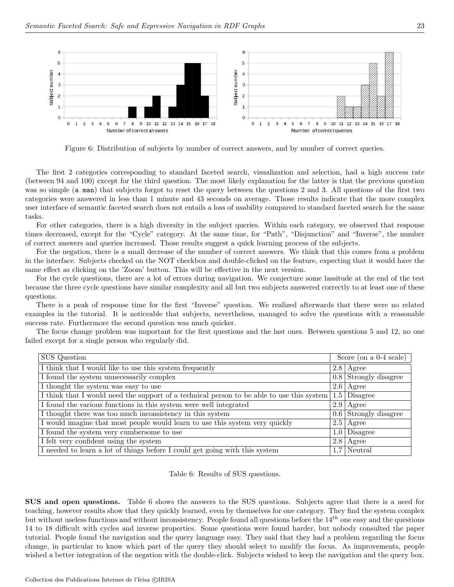

Figure 6: Distribution of subjects by number of correct answers, and by number of correct queries.

The first 2 categories corresponding to standard faceted search, visualization and selection, had a high success rate (between 94 and 100) except for the third question. The most likely explanation for the latter is that the previous question was so simple (a man) that subjects forgot to reset the query between the questions 2 and 3. All questions of the first two categories were answered in less than 1 minute and 43 seconds on average. Those results indicate that the more complex user interface of semantic faceted search does not entails a loss of usability compared to standard faceted search for the same tasks.

For other categories, there is a high diversity in the subject queries. Within each category, we observed that response times decreased, except for the "Cycle" category. At the same time, for "Path", "Disjunction" and "Inverse", the number of correct answers and queries increased. Those results suggest a quick learning process of the subjects.

For the negation, there is a small decrease of the number of correct answers. We think that this comes from a problem in the interface. Subjects checked on the NOT checkbox and double-clicked on the feature, expecting that it would have the same effect as clicking on the 'Zoom' button. This will be effective in the next version.

For the cycle questions, there are a lot of errors during navigation. We conjecture some lassitude at the end of the test because the three cycle questions have similar complexity and all but two subjects answered correctly to at least one of these questions.

There is a peak of response time for the first "Inverse" question. We realized afterwards that there were no related examples in the tutorial. It is noticeable that subjects, nevertheless, managed to solve the questions with a reasonable success rate. Furthermore the second question was much quicker.

The focus change problem was important for the first questions and the last ones. Between questions 5 and 12, no one failed except for a single person who regularly did.

| <b>SUS</b> Question                                                                       |     | Score (on a $0-4$ scale)  |  |
|-------------------------------------------------------------------------------------------|-----|---------------------------|--|
| I think that I would like to use this system frequently                                   |     | $2.8$   Agree             |  |
| I found the system unnecessarily complex                                                  |     | $0.8$ Strongly disagree   |  |
| I thought the system was easy to use                                                      |     | $2.6$   Agree             |  |
| I think that I would need the support of a technical person to be able to use this system |     | $\boxed{1.5}$ Disagree    |  |
| I found the various functions in this system were well integrated                         | 2.9 | Agree                     |  |
| I thought there was too much inconsistency in this system                                 |     | $0.6$ Strongly disagree   |  |
| I would imagine that most people would learn to use this system very quickly              |     | $2.5$   Agree             |  |
| I found the system very cumbersome to use                                                 |     | $\overline{1.0}$ Disagree |  |
| I felt very confident using the system                                                    | 2.8 | Agree                     |  |
| I needed to learn a lot of things before I could get going with this system               |     | $1.7$ Neutral             |  |

Table 6: Results of SUS questions.

SUS and open questions. Table 6 shows the answers to the SUS questions. Subjects agree that there is a need for teaching, however results show that they quickly learned, even by themselves for one category. They find the system complex but without useless functions and without inconsistency. People found all questions before the  $14^{th}$  one easy and the questions 14 to 18 difficult with cycles and inverse properties. Some questions were found harder, but nobody consulted the paper tutorial. People found the navigation and the query language easy. They said that they had a problem regarding the focus change, in particular to know which part of the query they should select to modify the focus. As improvements, people wished a better integration of the negation with the double-click. Subjects wished to keep the navigation and the query box.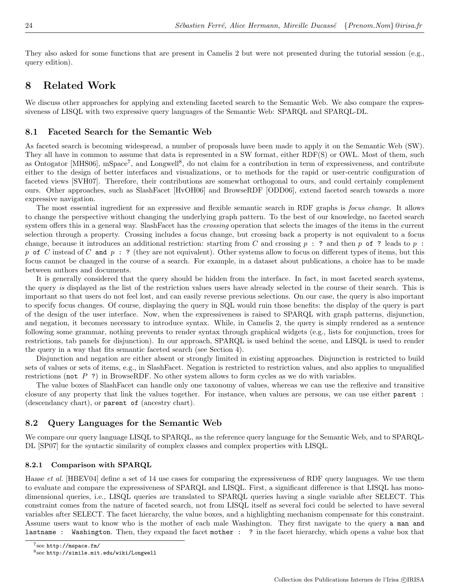They also asked for some functions that are present in Camelis 2 but were not presented during the tutorial session (e.g., query edition).

# 8 Related Work

We discuss other approaches for applying and extending faceted search to the Semantic Web. We also compare the expressiveness of LISQL with two expressive query languages of the Semantic Web: SPARQL and SPARQL-DL.

### 8.1 Faceted Search for the Semantic Web

As faceted search is becoming widespread, a number of proposals have been made to apply it on the Semantic Web (SW). They all have in common to assume that data is represented in a SW format, either RDF(S) or OWL. Most of them, such as Ontogator [MHS06], mSpace<sup>7</sup>, and Longwell<sup>8</sup>, do not claim for a contribution in term of expressiveness, and contribute either to the design of better interfaces and visualizations, or to methods for the rapid or user-centric configuration of faceted views [SVH07]. Therefore, their contributions are somewhat orthogonal to ours, and could certainly complement ours. Other approaches, such as SlashFacet [HvOH06] and BrowseRDF [ODD06], extend faceted search towards a more expressive navigation.

The most essential ingredient for an expressive and flexible semantic search in RDF graphs is focus change. It allows to change the perspective without changing the underlying graph pattern. To the best of our knowledge, no faceted search system offers this in a general way. SlashFacet has the *crossing* operation that selects the images of the items in the current selection through a property. Crossing includes a focus change, but crossing back a property is not equivalent to a focus change, because it introduces an additional restriction: starting from C and crossing  $p : ?$  and then p of ? leads to p : p of C instead of C and p : ? (they are not equivalent). Other systems allow to focus on different types of items, but this focus cannot be changed in the course of a search. For example, in a dataset about publications, a choice has to be made between authors and documents.

It is generally considered that the query should be hidden from the interface. In fact, in most faceted search systems, the query is displayed as the list of the restriction values users have already selected in the course of their search. This is important so that users do not feel lost, and can easily reverse previous selections. On our case, the query is also important to specify focus changes. Of course, displaying the query in SQL would ruin those benefits: the display of the query is part of the design of the user interface. Now, when the expressiveness is raised to SPARQL with graph patterns, disjunction, and negation, it becomes necessary to introduce syntax. While, in Camelis 2, the query is simply rendered as a sentence following some grammar, nothing prevents to render syntax through graphical widgets (e.g., lists for conjunction, trees for restrictions, tab panels for disjunction). In our approach, SPARQL is used behind the scene, and LISQL is used to render the query in a way that fits semantic faceted search (see Section 4).

Disjunction and negation are either absent or strongly limited in existing approaches. Disjunction is restricted to build sets of values or sets of items, e.g., in SlashFacet. Negation is restricted to restriction values, and also applies to unqualified restrictions (not P ?) in BrowseRDF. No other system allows to form cycles as we do with variables.

The value boxes of SlashFacet can handle only one taxonomy of values, whereas we can use the reflexive and transitive closure of any property that link the values together. For instance, when values are persons, we can use either parent : (descendancy chart), or parent of (ancestry chart).

### 8.2 Query Languages for the Semantic Web

We compare our query language LISQL to SPARQL, as the reference query language for the Semantic Web, and to SPARQL-DL [SP07] for the syntactic similarity of complex classes and complex properties with LISQL.

#### 8.2.1 Comparison with SPARQL

Haase *et al.* [HBEV04] define a set of 14 use cases for comparing the expressiveness of RDF query languages. We use them to evaluate and compare the expressiveness of SPARQL and LISQL. First, a significant difference is that LISQL has monodimensional queries, i.e., LISQL queries are translated to SPARQL queries having a single variable after SELECT. This constraint comes from the nature of faceted search, not from LISQL itself as several foci could be selected to have several variables after SELECT. The facet hierarchy, the value boxes, and a highlighting mechanism compensate for this constraint. Assume users want to know who is the mother of each male Washington. They first navigate to the query a man and lastname : Washington. Then, they expand the facet mother : ? in the facet hierarchy, which opens a value box that

<sup>7</sup> see http://mspace.fm/

 $^8$ see http://simile.mit.edu/wiki/Longwell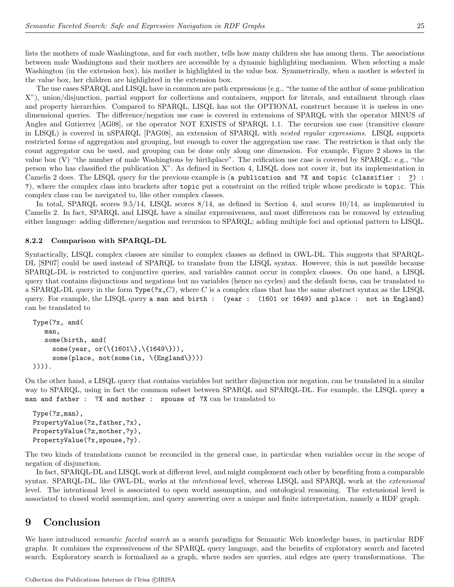lists the mothers of male Washingtons, and for each mother, tells how many children she has among them. The associations between male Washingtons and their mothers are accessible by a dynamic highlighting mechanism. When selecting a male Washington (in the extension box), his mother is highlighted in the value box. Symmetrically, when a mother is selected in the value box, her children are highlighted in the extension box.

The use cases SPARQL and LISQL have in common are path expressions (e.g., "the name of the author of some publication X"), union/disjunction, partial support for collections and containers, support for literals, and entailment through class and property hierarchies. Compared to SPARQL, LISQL has not the OPTIONAL construct because it is useless in onedimensional queries. The difference/negation use case is covered in extensions of SPARQL with the operator MINUS of Angles and Gutierrez [AG08], or the operator NOT EXISTS of SPARQL 1.1. The recursion use case (transitive closure in LISQL) is covered in nSPARQL [PAG08], an extension of SPARQL with nested regular expressions. LISQL supports restricted forms of aggregation and grouping, but enough to cover the aggregation use case. The restriction is that only the count aggregator can be used, and grouping can be done only along one dimension. For example, Figure 2 shows in the value box (V) "the number of male Washingtons by birthplace". The reification use case is covered by SPARQL: e.g., "the person who has classified the publication X". As defined in Section 4, LISQL does not cover it, but its implementation in Camelis 2 does. The LISQL query for the previous example is (a publication and ?X and topic (classifier : ?) : ?), where the complex class into brackets after topic put a constraint on the reified triple whose predicate is topic. This complex class can be navigated to, like other complex classes.

In total, SPARQL scores 9.5/14, LISQL scores 8/14, as defined in Section 4, and scores 10/14, as implemented in Camelis 2. In fact, SPARQL and LISQL have a similar expressiveness, and most differences can be removed by extending either language: adding difference/negation and recursion to SPARQL; adding multiple foci and optional pattern to LISQL.

#### 8.2.2 Comparison with SPARQL-DL

Syntactically, LISQL complex classes are similar to complex classes as defined in OWL-DL. This suggests that SPARQL-DL [SP07] could be used instead of SPARQL to translate from the LISQL syntax. However, this is not possible because SPARQL-DL is restricted to conjunctive queries, and variables cannot occur in complex classes. On one hand, a LISQL query that contains disjunctions and negations but no variables (hence no cycles) and the default focus, can be translated to a SPARQL-DL query in the form  $Type(?x,C)$ , where C is a complex class that has the same abstract syntax as the LISQL query. For example, the LISQL query a man and birth : (year : (1601 or 1649) and place : not in England) can be translated to

```
Type(?x, and(
   man,
   some(birth, and(
     some(year, or(\\{1601\},\\\{1649\})),
     some(place, not(some(in, \{England\})))
)))).
```
On the other hand, a LISQL query that contains variables but neither disjunction nor negation, can be translated in a similar way to SPARQL, using in fact the common subset between SPARQL and SPARQL-DL. For example, the LISQL query a man and father : ?X and mother : spouse of ?X can be translated to

```
Type(?z,man),
PropertyValue(?z,father,?x),
PropertyValue(?z,mother,?y),
PropertyValue(?x,spouse,?y).
```
The two kinds of translations cannot be reconciled in the general case, in particular when variables occur in the scope of negation of disjunction.

In fact, SPARQL-DL and LISQL work at different level, and might complement each other by benefiting from a comparable syntax. SPARQL-DL, like OWL-DL, works at the *intentional* level, whereas LISQL and SPARQL work at the *extensional* level. The intentional level is associated to open world assumption, and ontological reasoning. The extensional level is associated to closed world assumption, and query answering over a unique and finite interpretation, namely a RDF graph.

# 9 Conclusion

We have introduced *semantic faceted search* as a search paradigm for Semantic Web knowledge bases, in particular RDF graphs. It combines the expressiveness of the SPARQL query language, and the benefits of exploratory search and faceted search. Exploratory search is formalized as a graph, where nodes are queries, and edges are query transformations. The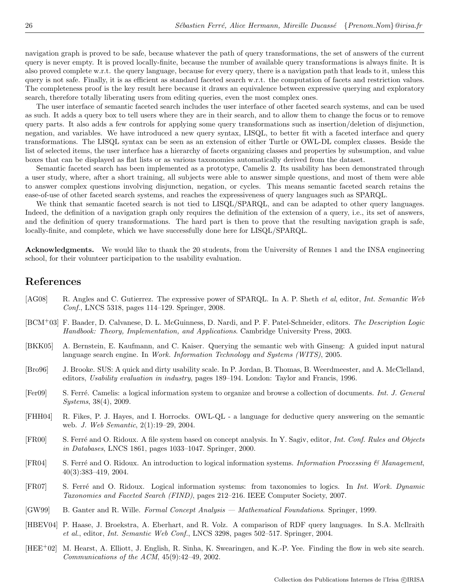navigation graph is proved to be safe, because whatever the path of query transformations, the set of answers of the current query is never empty. It is proved locally-finite, because the number of available query transformations is always finite. It is also proved complete w.r.t. the query language, because for every query, there is a navigation path that leads to it, unless this query is not safe. Finally, it is as efficient as standard faceted search w.r.t. the computation of facets and restriction values. The completeness proof is the key result here because it draws an equivalence between expressive querying and exploratory search, therefore totally liberating users from editing queries, even the most complex ones.

The user interface of semantic faceted search includes the user interface of other faceted search systems, and can be used as such. It adds a query box to tell users where they are in their search, and to allow them to change the focus or to remove query parts. It also adds a few controls for applying some query transformations such as insertion/deletion of disjunction, negation, and variables. We have introduced a new query syntax, LISQL, to better fit with a faceted interface and query transformations. The LISQL syntax can be seen as an extension of either Turtle or OWL-DL complex classes. Beside the list of selected items, the user interface has a hierarchy of facets organizing classes and properties by subsumption, and value boxes that can be displayed as flat lists or as various taxonomies automatically derived from the dataset.

Semantic faceted search has been implemented as a prototype, Camelis 2. Its usability has been demonstrated through a user study, where, after a short training, all subjects were able to answer simple questions, and most of them were able to answer complex questions involving disjunction, negation, or cycles. This means semantic faceted search retains the ease-of-use of other faceted search systems, and reaches the expressiveness of query languages such as SPARQL.

We think that semantic faceted search is not tied to LISQL/SPARQL, and can be adapted to other query languages. Indeed, the definition of a navigation graph only requires the definition of the extension of a query, i.e., its set of answers, and the definition of query transformations. The hard part is then to prove that the resulting navigation graph is safe, locally-finite, and complete, which we have successfully done here for LISQL/SPARQL.

Acknowledgments. We would like to thank the 20 students, from the University of Rennes 1 and the INSA engineering school, for their volunteer participation to the usability evaluation.

# References

- [AG08] R. Angles and C. Gutierrez. The expressive power of SPARQL. In A. P. Sheth *et al*, editor, *Int. Semantic Web* Conf., LNCS 5318, pages 114–129. Springer, 2008.
- [BCM<sup>+</sup>03] F. Baader, D. Calvanese, D. L. McGuinness, D. Nardi, and P. F. Patel-Schneider, editors. *The Description Logic* Handbook: Theory, Implementation, and Applications. Cambridge University Press, 2003.
- [BKK05] A. Bernstein, E. Kaufmann, and C. Kaiser. Querying the semantic web with Ginseng: A guided input natural language search engine. In Work. Information Technology and Systems (WITS), 2005.
- [Bro96] J. Brooke. SUS: A quick and dirty usability scale. In P. Jordan, B. Thomas, B. Weerdmeester, and A. McClelland, editors, Usability evaluation in industry, pages 189–194. London: Taylor and Francis, 1996.
- [Fer09] S. Ferré. Camelis: a logical information system to organize and browse a collection of documents. Int. J. General Systems, 38(4), 2009.
- [FHH04] R. Fikes, P. J. Hayes, and I. Horrocks. OWL-QL a language for deductive query answering on the semantic web. J. Web Semantic, 2(1):19–29, 2004.
- [FR00] S. Ferré and O. Ridoux. A file system based on concept analysis. In Y. Sagiv, editor, *Int. Conf. Rules and Objects* in Databases, LNCS 1861, pages 1033–1047. Springer, 2000.
- [FR04] S. Ferré and O. Ridoux. An introduction to logical information systems. Information Processing  $\mathcal{C}$  Management, 40(3):383–419, 2004.
- [FR07] S. Ferr´e and O. Ridoux. Logical information systems: from taxonomies to logics. In Int. Work. Dynamic Taxonomies and Faceted Search (FIND), pages 212–216. IEEE Computer Society, 2007.
- [GW99] B. Ganter and R. Wille. Formal Concept Analysis Mathematical Foundations. Springer, 1999.
- [HBEV04] P. Haase, J. Broekstra, A. Eberhart, and R. Volz. A comparison of RDF query languages. In S.A. McIlraith et al., editor, Int. Semantic Web Conf., LNCS 3298, pages 502–517. Springer, 2004.
- [HEE<sup>+</sup>02] M. Hearst, A. Elliott, J. English, R. Sinha, K. Swearingen, and K.-P. Yee. Finding the flow in web site search. Communications of the ACM, 45(9):42–49, 2002.